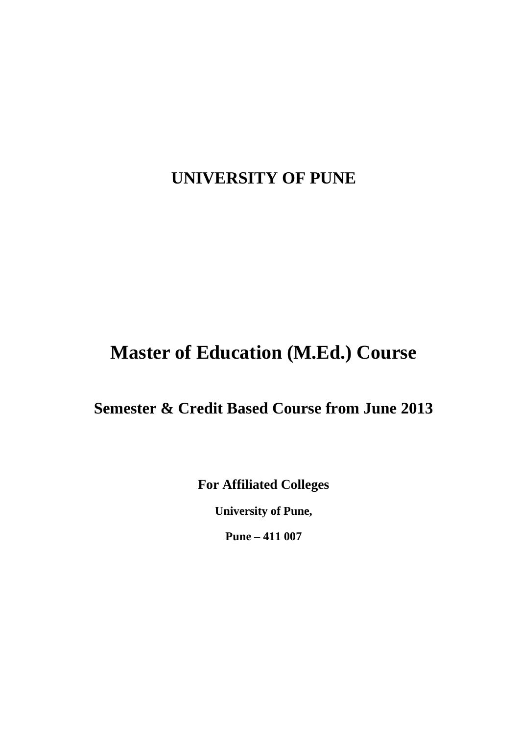# **UNIVERSITY OF PUNE**

# **Master of Education (M.Ed.) Course**

# **Semester & Credit Based Course from June 2013**

**For Affiliated Colleges**

**University of Pune,**

**Pune – 411 007**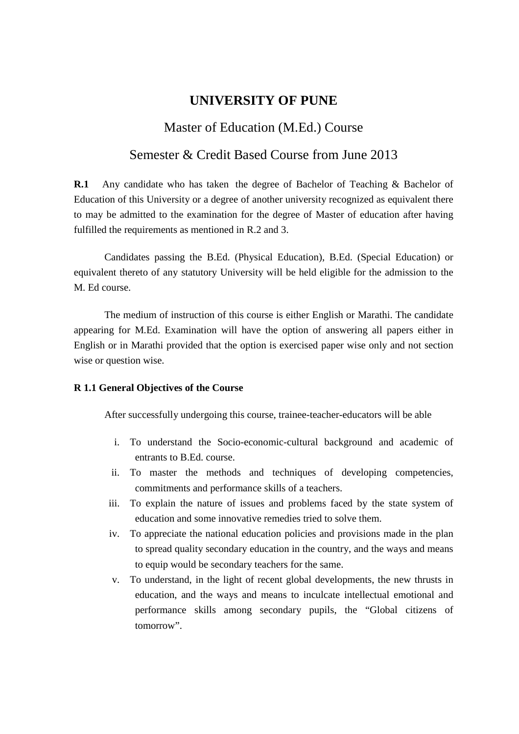# **UNIVERSITY OF PUNE**

# Master of Education (M.Ed.) Course

# Semester & Credit Based Course from June 2013

**R.1** Any candidate who has taken the degree of Bachelor of Teaching & Bachelor of Education of this University or a degree of another university recognized as equivalent there to may be admitted to the examination for the degree of Master of education after having fulfilled the requirements as mentioned in R.2 and 3.

Candidates passing the B.Ed. (Physical Education), B.Ed. (Special Education) or equivalent thereto of any statutory University will be held eligible for the admission to the M. Ed course.

The medium of instruction of this course is either English or Marathi. The candidate appearing for M.Ed. Examination will have the option of answering all papers either in English or in Marathi provided that the option is exercised paper wise only and not section wise or question wise.

#### **R 1.1 General Objectives of the Course**

After successfully undergoing this course, trainee-teacher-educators will be able

- i. To understand the Socio-economic-cultural background and academic of entrants to B.Ed. course.
- ii. To master the methods and techniques of developing competencies, commitments and performance skills of a teachers.
- iii. To explain the nature of issues and problems faced by the state system of education and some innovative remedies tried to solve them.
- iv. To appreciate the national education policies and provisions made in the plan to spread quality secondary education in the country, and the ways and means to equip would be secondary teachers for the same.
- v. To understand, in the light of recent global developments, the new thrusts in education, and the ways and means to inculcate intellectual emotional and performance skills among secondary pupils, the "Global citizens of tomorrow".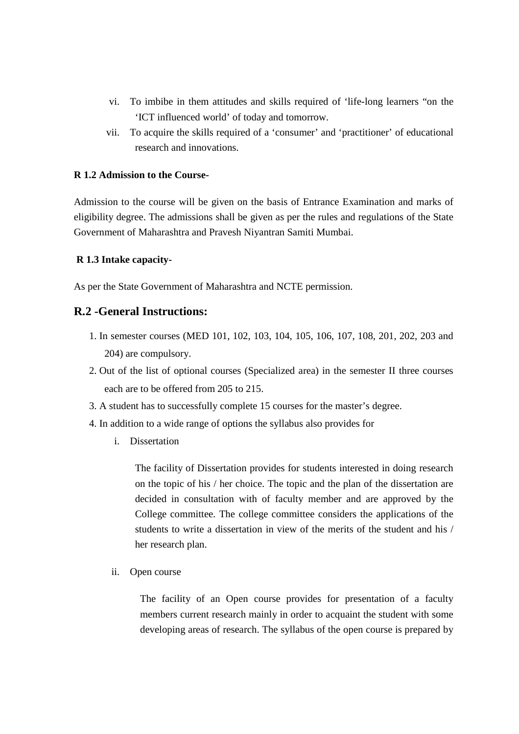- vi. To imbibe in them attitudes and skills required of 'life-long learners "on the 'ICT influenced world' of today and tomorrow.
- vii. To acquire the skills required of a 'consumer' and 'practitioner' of educational research and innovations.

#### **R 1.2 Admission to the Course-**

Admission to the course will be given on the basis of Entrance Examination and marks of eligibility degree. The admissions shall be given as per the rules and regulations of the State Government of Maharashtra and Pravesh Niyantran Samiti Mumbai.

#### **R 1.3 Intake capacity-**

As per the State Government of Maharashtra and NCTE permission.

# **R.2 -General Instructions:**

- 1. In semester courses (MED 101, 102, 103, 104, 105, 106, 107, 108, 201, 202, 203 and 204) are compulsory.
- 2. Out of the list of optional courses (Specialized area) in the semester II three courses each are to be offered from 205 to 215.
- 3. A student has to successfully complete 15 courses for the master's degree.
- 4. In addition to a wide range of options the syllabus also provides for
	- i. Dissertation

The facility of Dissertation provides for students interested in doing research on the topic of his / her choice. The topic and the plan of the dissertation are decided in consultation with of faculty member and are approved by the College committee. The college committee considers the applications of the students to write a dissertation in view of the merits of the student and his / her research plan.

ii. Open course

The facility of an Open course provides for presentation of a faculty members current research mainly in order to acquaint the student with some developing areas of research. The syllabus of the open course is prepared by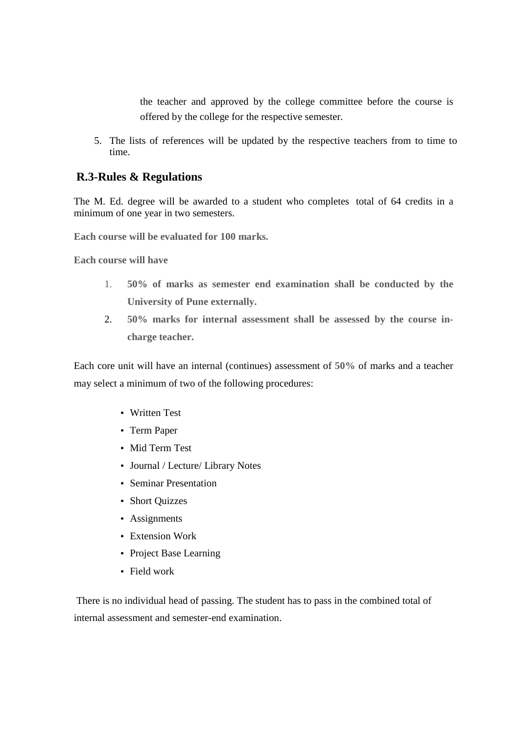the teacher and approved by the college committee before the course is offered by the college for the respective semester.

5. The lists of references will be updated by the respective teachers from to time to time.

# **R.3-Rules & Regulations**

The M. Ed. degree will be awarded to a student who completes total of 64 credits in a minimum of one year in two semesters.

**Each course will be evaluated for 100 marks.**

**Each course will have**

- 1. **50% of marks as semester end examination shall be conducted by the University of Pune externally.**
- 2. **50% marks for internal assessment shall be assessed by the course incharge teacher.**

Each core unit will have an internal (continues) assessment of **50%** of marks and a teacher may select a minimum of two of the following procedures:

- Written Test
- Term Paper
- Mid Term Test
- Journal / Lecture/ Library Notes
- Seminar Presentation
- Short Quizzes
- Assignments
- Extension Work
- Project Base Learning
- Field work

 There is no individual head of passing. The student has to pass in the combined total of internal assessment and semester-end examination.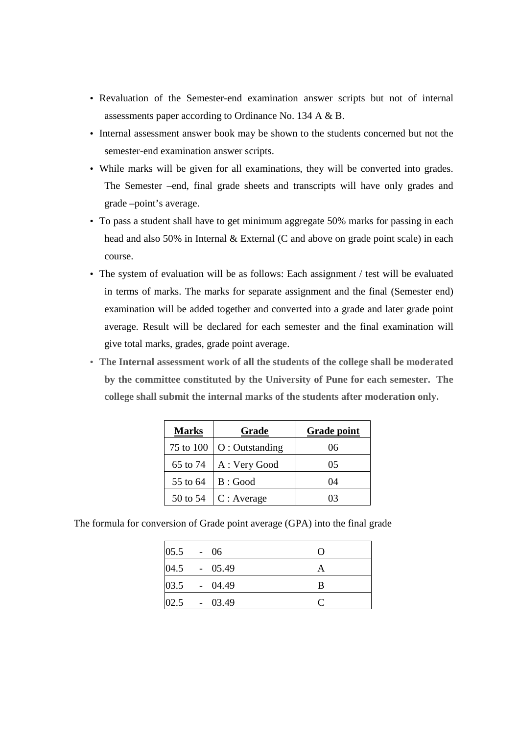- Revaluation of the Semester-end examination answer scripts but not of internal assessments paper according to Ordinance No. 134 A & B.
- Internal assessment answer book may be shown to the students concerned but not the semester-end examination answer scripts.
- While marks will be given for all examinations, they will be converted into grades. The Semester –end, final grade sheets and transcripts will have only grades and grade –point's average.
- To pass a student shall have to get minimum aggregate 50% marks for passing in each head and also 50% in Internal & External (C and above on grade point scale) in each course.
- The system of evaluation will be as follows: Each assignment / test will be evaluated in terms of marks. The marks for separate assignment and the final (Semester end) examination will be added together and converted into a grade and later grade point average. Result will be declared for each semester and the final examination will give total marks, grades, grade point average.
- **The Internal assessment work of all the students of the college shall be moderated by the committee constituted by the University of Pune for each semester. The college shall submit the internal marks of the students after moderation only.**

| <b>Marks</b> | Grade            | <b>Grade point</b> |  |
|--------------|------------------|--------------------|--|
| 75 to 100    | $O:$ Outstanding | 06                 |  |
| 65 to 74     | A : Very Good    | 05                 |  |
| 55 to 64     | B:Good           | 04                 |  |
| 50 to 54     | C: Average       | 03                 |  |

The formula for conversion of Grade point average (GPA) into the final grade

| $05.5 - 06$    | $\left( \right)$ |
|----------------|------------------|
| 04.5 - 05.49   |                  |
| 03.5 - 04.49   | B                |
| $02.5 - 03.49$ |                  |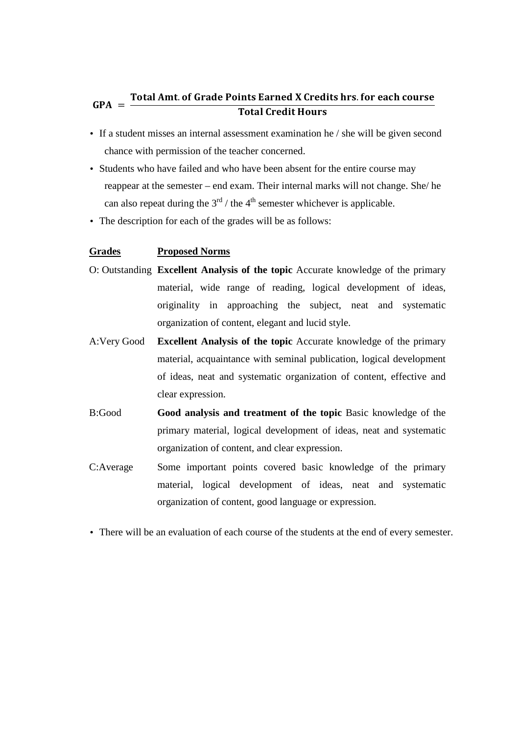#### $GPA =$ Total Amt. of Grade Points Earned X Credits hrs. for each course **Total Credit Hours**

- If a student misses an internal assessment examination he / she will be given second chance with permission of the teacher concerned.
- Students who have failed and who have been absent for the entire course may reappear at the semester – end exam. Their internal marks will not change. She/ he can also repeat during the  $3<sup>rd</sup>$  / the 4<sup>th</sup> semester whichever is applicable.
- The description for each of the grades will be as follows:

#### **Grades Proposed Norms**

- O: Outstanding **Excellent Analysis of the topic** Accurate knowledge of the primary material, wide range of reading, logical development of ideas, originality in approaching the subject, neat and systematic organization of content, elegant and lucid style.
- A:Very Good **Excellent Analysis of the topic** Accurate knowledge of the primary material, acquaintance with seminal publication, logical development of ideas, neat and systematic organization of content, effective and clear expression.
- B:Good **Good analysis and treatment of the topic** Basic knowledge of the primary material, logical development of ideas, neat and systematic organization of content, and clear expression.
- C:Average Some important points covered basic knowledge of the primary material, logical development of ideas, neat and systematic organization of content, good language or expression.
- There will be an evaluation of each course of the students at the end of every semester.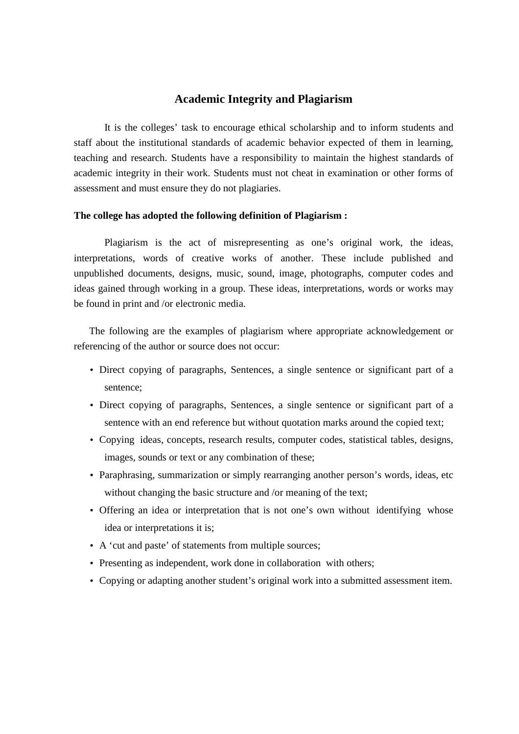#### **Academic Integrity and Plagiarism**

It is the colleges' task to encourage ethical scholarship and to inform students and staff about the institutional standards of academic behavior expected of them in learning, teaching and research. Students have a responsibility to maintain the highest standards of academic integrity in their work. Students must not cheat in examination or other forms of assessment and must ensure they do not plagiaries.

#### **The college has adopted the following definition of Plagiarism :**

Plagiarism is the act of misrepresenting as one's original work, the ideas, interpretations, words of creative works of another. These include published and unpublished documents, designs, music, sound, image, photographs, computer codes and ideas gained through working in a group. These ideas, interpretations, words or works may be found in print and /or electronic media.

The following are the examples of plagiarism where appropriate acknowledgement or referencing of the author or source does not occur:

- Direct copying of paragraphs, Sentences, a single sentence or significant part of a sentence;
- Direct copying of paragraphs, Sentences, a single sentence or significant part of a sentence with an end reference but without quotation marks around the copied text;
- Copying ideas, concepts, research results, computer codes, statistical tables, designs, images, sounds or text or any combination of these;
- Paraphrasing, summarization or simply rearranging another person's words, ideas, etc without changing the basic structure and /or meaning of the text;
- Offering an idea or interpretation that is not one's own without identifying whose idea or interpretations it is;
- A 'cut and paste' of statements from multiple sources;
- Presenting as independent, work done in collaboration with others;
- Copying or adapting another student's original work into a submitted assessment item.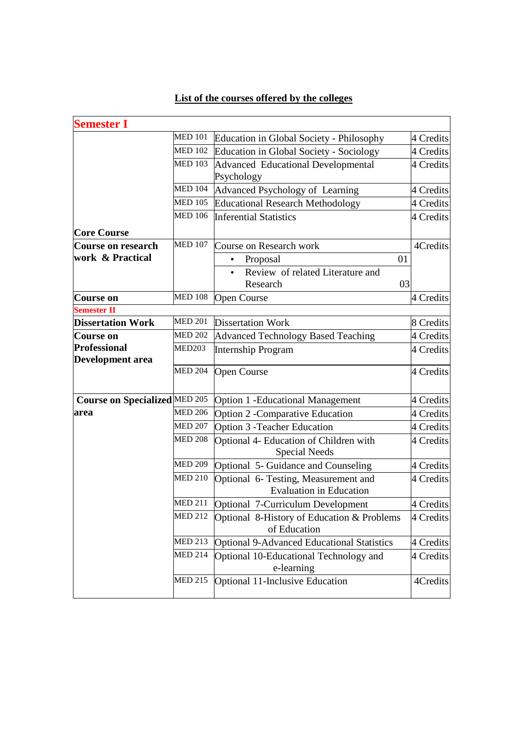# **List of the courses offered by the colleges**

| <b>Semester I</b>                                                |                                                            |                                                                        |           |
|------------------------------------------------------------------|------------------------------------------------------------|------------------------------------------------------------------------|-----------|
|                                                                  | <b>MED 101</b><br>Education in Global Society - Philosophy |                                                                        | 4 Credits |
| <b>MED 102</b><br><b>Education in Global Society - Sociology</b> |                                                            | 4 Credits                                                              |           |
|                                                                  | <b>MED 103</b><br>Advanced Educational Developmental       |                                                                        | 4 Credits |
|                                                                  |                                                            | Psychology                                                             |           |
| <b>MED 104</b>                                                   |                                                            | Advanced Psychology of Learning                                        | 4 Credits |
|                                                                  | <b>MED 105</b>                                             | <b>Educational Research Methodology</b>                                | 4 Credits |
|                                                                  | <b>MED 106</b>                                             | <b>Inferential Statistics</b>                                          | 4 Credits |
| <b>Core Course</b>                                               |                                                            |                                                                        |           |
| Course on research                                               | <b>MED 107</b>                                             | Course on Research work                                                | 4Credits  |
| work & Practical                                                 |                                                            | 01<br>Proposal                                                         |           |
|                                                                  |                                                            | Review of related Literature and<br>$\bullet$                          |           |
|                                                                  |                                                            | Research<br>03                                                         |           |
| Course on                                                        | <b>MED 108</b>                                             | <b>Open Course</b>                                                     | 4 Credits |
| <b>Semester II</b>                                               |                                                            |                                                                        |           |
| <b>Dissertation Work</b>                                         | <b>MED 201</b>                                             | <b>Dissertation Work</b>                                               | 8 Credits |
| Course on                                                        | <b>MED 202</b>                                             | Advanced Technology Based Teaching                                     | 4 Credits |
| <b>Professional</b>                                              | MED203                                                     | <b>Internship Program</b>                                              | 4 Credits |
| <b>Development area</b>                                          | <b>MED 204</b>                                             | <b>Open Course</b>                                                     | 4 Credits |
| <b>Course on Specialized MED 205</b>                             |                                                            | Option 1 - Educational Management                                      | 4 Credits |
| area                                                             | <b>MED 206</b>                                             | <b>Option 2 - Comparative Education</b>                                | 4 Credits |
|                                                                  | <b>MED 207</b>                                             | <b>Option 3 - Teacher Education</b>                                    | 4 Credits |
|                                                                  | <b>MED 208</b>                                             | Optional 4- Education of Children with<br><b>Special Needs</b>         | 4 Credits |
|                                                                  | MED 209                                                    | Optional 5- Guidance and Counseling                                    | 4 Credits |
|                                                                  | <b>MED 210</b>                                             | Optional 6- Testing, Measurement and<br><b>Evaluation in Education</b> | 4 Credits |
|                                                                  | MED 211                                                    | Optional 7-Curriculum Development                                      | 4 Credits |
|                                                                  | <b>MED 212</b>                                             | Optional 8-History of Education & Problems<br>of Education             | 4 Credits |
|                                                                  | <b>MED 213</b>                                             | <b>Optional 9-Advanced Educational Statistics</b>                      | 4 Credits |
|                                                                  | <b>MED 214</b>                                             | Optional 10-Educational Technology and<br>e-learning                   | 4 Credits |
|                                                                  | <b>MED 215</b>                                             | Optional 11-Inclusive Education                                        | 4Credits  |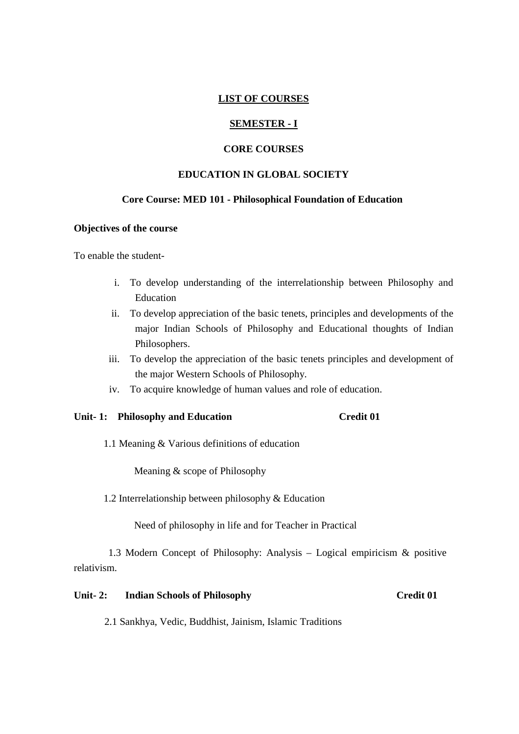#### **LIST OF COURSES**

#### **SEMESTER - I**

#### **CORE COURSES**

#### **EDUCATION IN GLOBAL SOCIETY**

# **Core Course: MED 101 - Philosophical Foundation of Education**

#### **Objectives of the course**

To enable the student-

- i. To develop understanding of the interrelationship between Philosophy and Education
- ii. To develop appreciation of the basic tenets, principles and developments of the major Indian Schools of Philosophy and Educational thoughts of Indian Philosophers.
- iii. To develop the appreciation of the basic tenets principles and development of the major Western Schools of Philosophy.
- iv. To acquire knowledge of human values and role of education.

#### **Unit- 1: Philosophy and Education Credit 01**

1.1 Meaning & Various definitions of education

Meaning & scope of Philosophy

1.2 Interrelationship between philosophy & Education

Need of philosophy in life and for Teacher in Practical

1.3 Modern Concept of Philosophy: Analysis – Logical empiricism & positive relativism.

#### Unit- 2: Indian Schools of Philosophy Credit 01

2.1 Sankhya, Vedic, Buddhist, Jainism, Islamic Traditions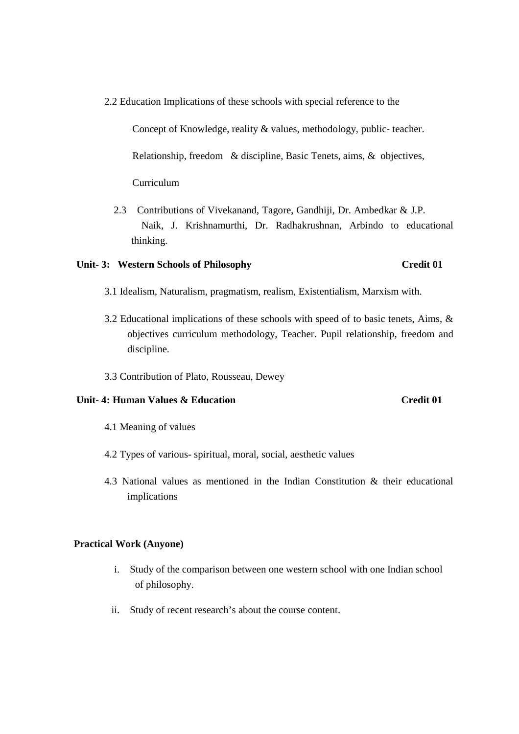2.2 Education Implications of these schools with special reference to the

 Concept of Knowledge, reality & values, methodology, public- teacher. Relationship, freedom & discipline, Basic Tenets, aims, & objectives, Curriculum

 2.3 Contributions of Vivekanand, Tagore, Gandhiji, Dr. Ambedkar & J.P. Naik, J. Krishnamurthi, Dr. Radhakrushnan, Arbindo to educational thinking.

#### Unit- 3: Western Schools of Philosophy Credit 01

- 3.1 Idealism, Naturalism, pragmatism, realism, Existentialism, Marxism with.
- 3.2 Educational implications of these schools with speed of to basic tenets, Aims, & objectives curriculum methodology, Teacher. Pupil relationship, freedom and discipline.
- 3.3 Contribution of Plato, Rousseau, Dewey

### **Unit- 4: Human Values & Education Credit 01**

- 4.1 Meaning of values
- 4.2 Types of various- spiritual, moral, social, aesthetic values
- 4.3 National values as mentioned in the Indian Constitution & their educational implications

#### **Practical Work (Anyone)**

- i. Study of the comparison between one western school with one Indian school of philosophy.
- ii. Study of recent research's about the course content.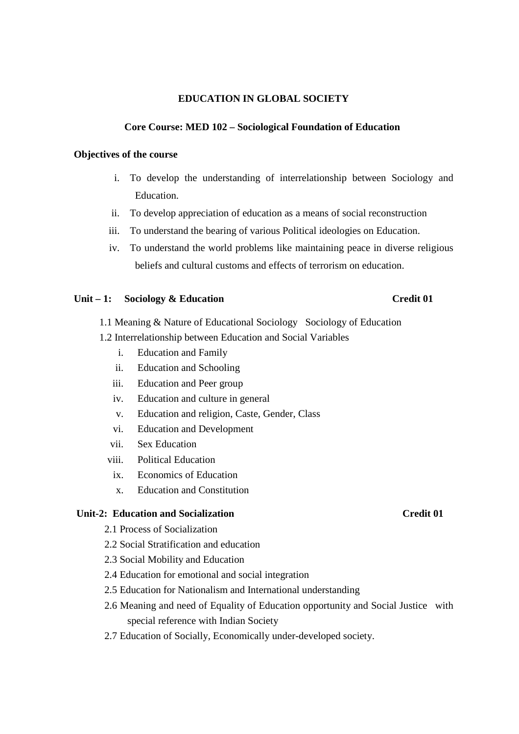#### **EDUCATION IN GLOBAL SOCIETY**

#### **Core Course: MED 102 – Sociological Foundation of Education**

#### **Objectives of the course**

- i. To develop the understanding of interrelationship between Sociology and Education.
- ii. To develop appreciation of education as a means of social reconstruction
- iii. To understand the bearing of various Political ideologies on Education.
- iv. To understand the world problems like maintaining peace in diverse religious beliefs and cultural customs and effects of terrorism on education.

#### Unit – 1: Sociology & Education Credit 01

- 1.1 Meaning & Nature of Educational Sociology Sociology of Education
- 1.2 Interrelationship between Education and Social Variables
	- i. Education and Family
	- ii. Education and Schooling
	- iii. Education and Peer group
	- iv. Education and culture in general
	- v. Education and religion, Caste, Gender, Class
	- vi. Education and Development
	- vii. Sex Education
	- viii. Political Education
		- ix. Economics of Education
		- x. Education and Constitution

### **Unit-2: Education and Socialization Credit 01**

- 2.1 Process of Socialization
- 2.2 Social Stratification and education
- 2.3 Social Mobility and Education
- 2.4 Education for emotional and social integration
- 2.5 Education for Nationalism and International understanding
- 2.6 Meaning and need of Equality of Education opportunity and Social Justice with special reference with Indian Society
- 2.7 Education of Socially, Economically under-developed society.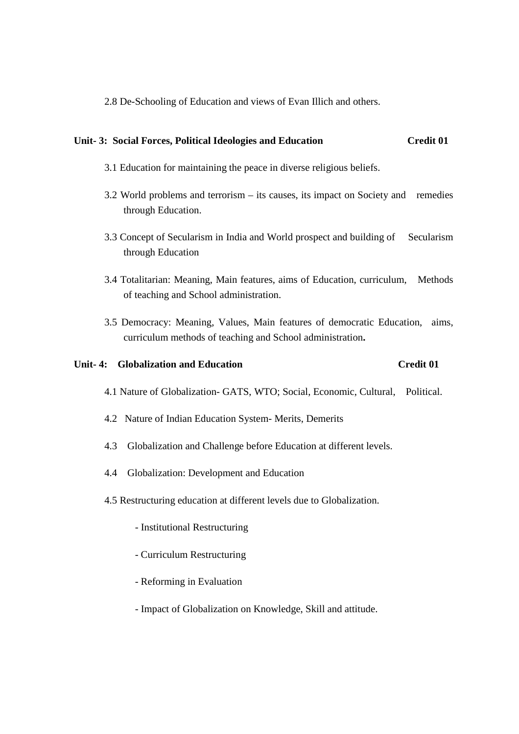2.8 De-Schooling of Education and views of Evan Illich and others.

#### **Unit- 3: Social Forces, Political Ideologies and Education Credit 01**

- 3.1 Education for maintaining the peace in diverse religious beliefs.
- 3.2 World problems and terrorism its causes, its impact on Society and remedies through Education.
- 3.3 Concept of Secularism in India and World prospect and building of Secularism through Education
- 3.4 Totalitarian: Meaning, Main features, aims of Education, curriculum, Methods of teaching and School administration.
- 3.5 Democracy: Meaning, Values, Main features of democratic Education, aims, curriculum methods of teaching and School administration**.**

#### **Unit- 4: Globalization and Education Credit 01**

- 4.1 Nature of Globalization- GATS, WTO; Social, Economic, Cultural, Political.
- 4.2 Nature of Indian Education System- Merits, Demerits
- 4.3 Globalization and Challenge before Education at different levels.
- 4.4 Globalization: Development and Education
- 4.5 Restructuring education at different levels due to Globalization.
	- Institutional Restructuring
	- Curriculum Restructuring
	- Reforming in Evaluation
	- Impact of Globalization on Knowledge, Skill and attitude.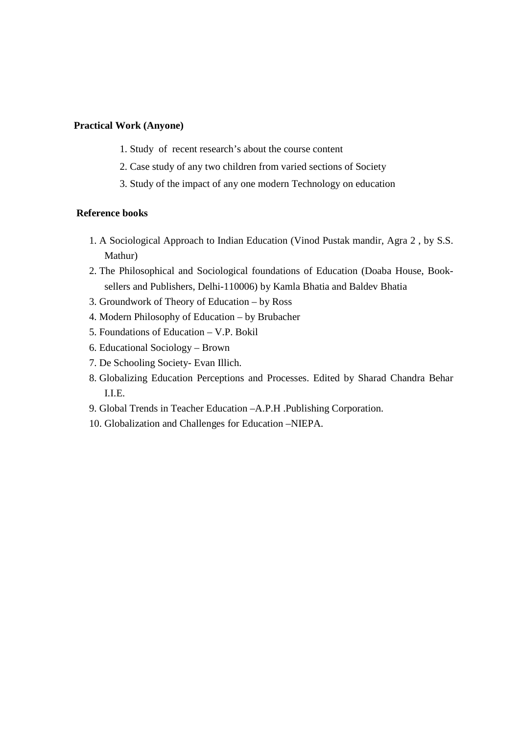#### **Practical Work (Anyone)**

- 1. Study of recent research's about the course content
- 2. Case study of any two children from varied sections of Society
- 3. Study of the impact of any one modern Technology on education

#### **Reference books**

- 1. A Sociological Approach to Indian Education (Vinod Pustak mandir, Agra 2 , by S.S. Mathur)
- 2. The Philosophical and Sociological foundations of Education (Doaba House, Booksellers and Publishers, Delhi-110006) by Kamla Bhatia and Baldev Bhatia
- 3. Groundwork of Theory of Education by Ross
- 4. Modern Philosophy of Education by Brubacher
- 5. Foundations of Education V.P. Bokil
- 6. Educational Sociology Brown
- 7. De Schooling Society- Evan Illich.
- 8. Globalizing Education Perceptions and Processes. Edited by Sharad Chandra Behar I.I.E.
- 9. Global Trends in Teacher Education –A.P.H .Publishing Corporation.
- 10. Globalization and Challenges for Education –NIEPA.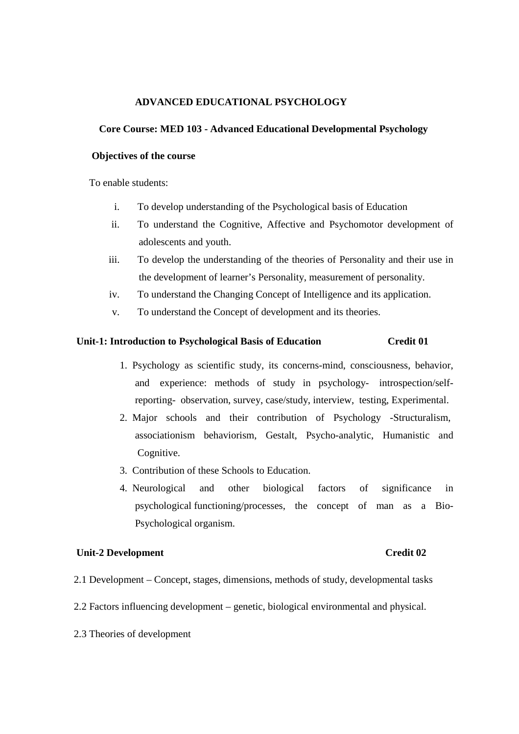#### **ADVANCED EDUCATIONAL PSYCHOLOGY**

#### **Core Course: MED 103 - Advanced Educational Developmental Psychology**

#### **Objectives of the course**

To enable students:

- i. To develop understanding of the Psychological basis of Education
- ii. To understand the Cognitive, Affective and Psychomotor development of adolescents and youth.
- iii. To develop the understanding of the theories of Personality and their use in the development of learner's Personality, measurement of personality.
- iv. To understand the Changing Concept of Intelligence and its application.
- v. To understand the Concept of development and its theories.

#### **Unit-1: Introduction to Psychological Basis of Education Credit 01**

- 1. Psychology as scientific study, its concerns-mind, consciousness, behavior, and experience: methods of study in psychology- introspection/selfreporting- observation, survey, case/study, interview, testing, Experimental.
- 2. Major schools and their contribution of Psychology -Structuralism, associationism behaviorism, Gestalt, Psycho-analytic, Humanistic and Cognitive.
- 3. Contribution of these Schools to Education.
- 4. Neurological and other biological factors of significance in psychological functioning/processes, the concept of man as a Bio-Psychological organism.

#### **Unit-2 Development** Credit 02

- 2.1 Development Concept, stages, dimensions, methods of study, developmental tasks
- 2.2 Factors influencing development genetic, biological environmental and physical.
- 2.3 Theories of development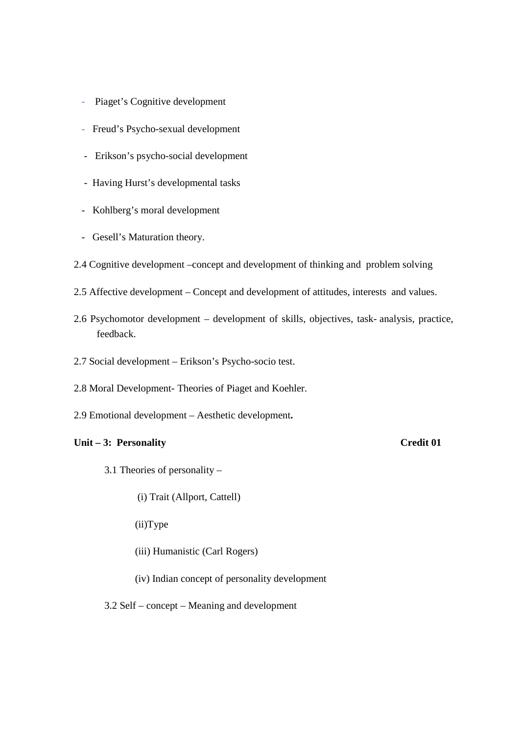- Piaget's Cognitive development
- Freud's Psycho-sexual development
- Erikson's psycho-social development
- Having Hurst's developmental tasks
- Kohlberg's moral development
- Gesell's Maturation theory.
- 2.4 Cognitive development –concept and development of thinking and problem solving
- 2.5 Affective development Concept and development of attitudes, interests and values.
- 2.6 Psychomotor development development of skills, objectives, task- analysis, practice, feedback.
- 2.7 Social development Erikson's Psycho-socio test.
- 2.8 Moral Development- Theories of Piaget and Koehler.
- 2.9 Emotional development Aesthetic development**.**

#### Unit – 3: Personality Credit 01

- 3.1 Theories of personality
	- (i) Trait (Allport, Cattell)
	- (ii)Type
	- (iii) Humanistic (Carl Rogers)
	- (iv) Indian concept of personality development

3.2 Self – concept – Meaning and development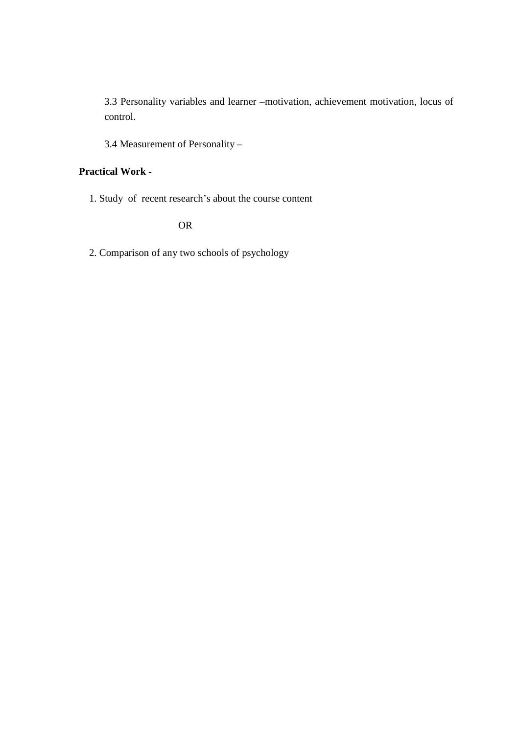3.3 Personality variables and learner –motivation, achievement motivation, locus of control.

3.4 Measurement of Personality –

# **Practical Work -**

1. Study of recent research's about the course content

OR

2. Comparison of any two schools of psychology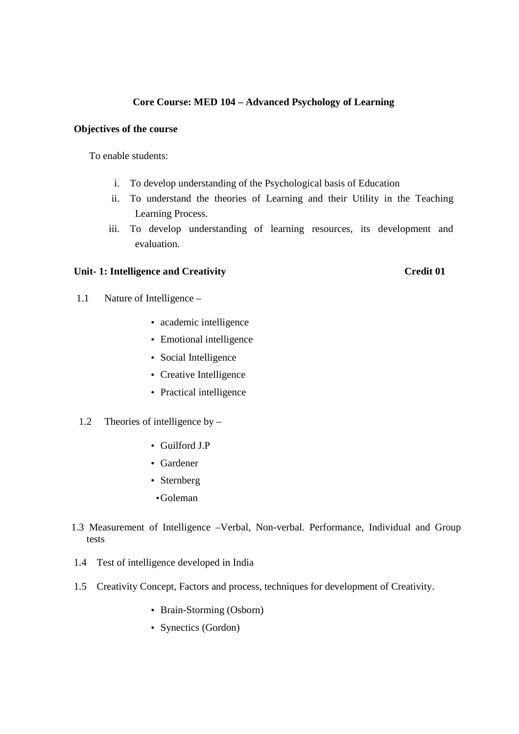### **Core Course: MED 104 – Advanced Psychology of Learning**

#### **Objectives of the course**

To enable students:

- i. To develop understanding of the Psychological basis of Education
- ii. To understand the theories of Learning and their Utility in the Teaching Learning Process.
- iii. To develop understanding of learning resources, its development and evaluation.

#### Unit- 1: Intelligence and Creativity Credit 01

- 1.1Nature of Intelligence
	- academic intelligence
	- Emotional intelligence
	- Social Intelligence
	- Creative Intelligence
	- Practical intelligence
- 1.2 Theories of intelligence by
	- Guilford J.P
	- Gardener
	- Sternberg
	- •Goleman
- 1.3 Measurement of Intelligence –Verbal, Non-verbal. Performance, Individual and Group tests
- 1.4 Test of intelligence developed in India
- 1.5 Creativity Concept, Factors and process, techniques for development of Creativity.
	- Brain-Storming (Osborn)
	- Synectics (Gordon)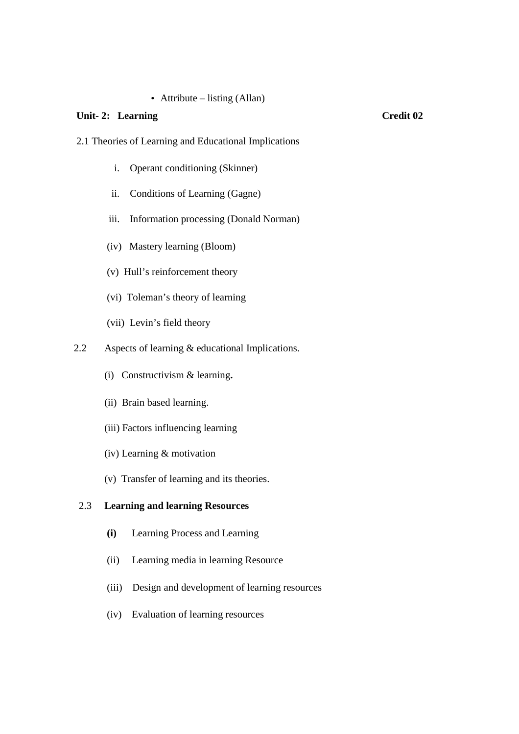### • Attribute – listing (Allan)

#### Unit- 2: Learning Credit 02

- 2.1 Theories of Learning and Educational Implications
	- i. Operant conditioning (Skinner)
	- ii. Conditions of Learning (Gagne)
	- iii. Information processing (Donald Norman)
	- (iv) Mastery learning (Bloom)
	- (v) Hull's reinforcement theory
	- (vi) Toleman's theory of learning
	- (vii) Levin's field theory
- 2.2 Aspects of learning & educational Implications.
	- (i) Constructivism & learning**.**
	- (ii) Brain based learning.
	- (iii) Factors influencing learning
	- (iv) Learning & motivation
	- (v) Transfer of learning and its theories.

### 2.3 **Learning and learning Resources**

- **(i)** Learning Process and Learning
- (ii) Learning media in learning Resource
- (iii) Design and development of learning resources
- (iv) Evaluation of learning resources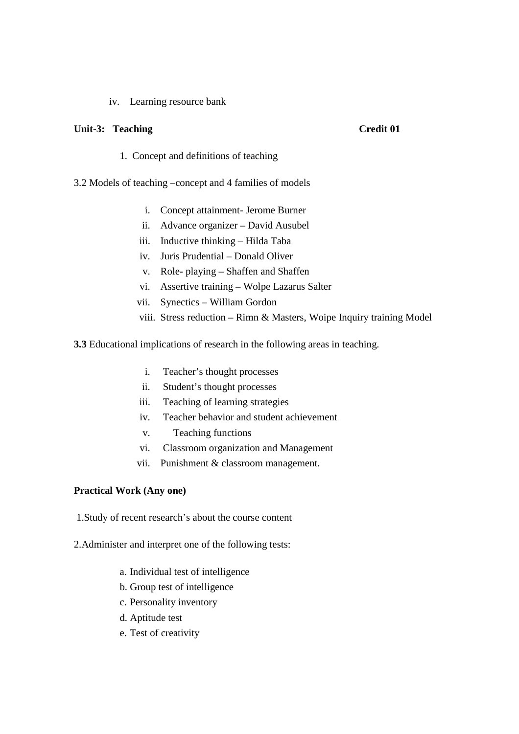#### iv. Learning resource bank

#### Unit-3: Teaching Credit 01

- 1. Concept and definitions of teaching
- 3.2 Models of teaching –concept and 4 families of models
	- i. Concept attainment- Jerome Burner
	- ii. Advance organizer David Ausubel
	- iii. Inductive thinking Hilda Taba
	- iv. Juris Prudential Donald Oliver
	- v. Role- playing Shaffen and Shaffen
	- vi. Assertive training Wolpe Lazarus Salter
	- vii. Synectics William Gordon
	- viii. Stress reduction Rimn & Masters, Woipe Inquiry training Model
- **3.3** Educational implications of research in the following areas in teaching.
	- i. Teacher's thought processes
	- ii. Student's thought processes
	- iii. Teaching of learning strategies
	- iv. Teacher behavior and student achievement
	- v. Teaching functions
	- vi. Classroom organization and Management
	- vii. Punishment & classroom management.

#### **Practical Work (Any one)**

- 1.Study of recent research's about the course content
- 2.Administer and interpret one of the following tests:
	- a. Individual test of intelligence
	- b. Group test of intelligence
	- c. Personality inventory
	- d. Aptitude test
	- e. Test of creativity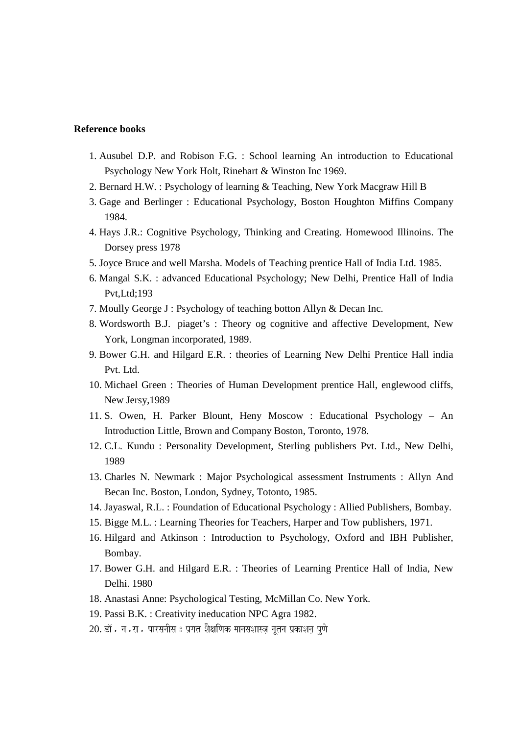#### **Reference books**

- 1. Ausubel D.P. and Robison F.G. : School learning An introduction to Educational Psychology New York Holt, Rinehart & Winston Inc 1969.
- 2. Bernard H.W. : Psychology of learning & Teaching, New York Macgraw Hill B
- 3. Gage and Berlinger : Educational Psychology, Boston Houghton Miffins Company 1984.
- 4. Hays J.R.: Cognitive Psychology, Thinking and Creating. Homewood Illinoins. The Dorsey press 1978
- 5. Joyce Bruce and well Marsha. Models of Teaching prentice Hall of India Ltd. 1985.
- 6. Mangal S.K. : advanced Educational Psychology; New Delhi, Prentice Hall of India Pvt,Ltd;193
- 7. Moully George J : Psychology of teaching botton Allyn & Decan Inc.
- 8. Wordsworth B.J. piaget's : Theory og cognitive and affective Development, New York, Longman incorporated, 1989.
- 9. Bower G.H. and Hilgard E.R. : theories of Learning New Delhi Prentice Hall india Pvt. Ltd.
- 10. Michael Green : Theories of Human Development prentice Hall, englewood cliffs, New Jersy,1989
- 11. S. Owen, H. Parker Blount, Heny Moscow : Educational Psychology An Introduction Little, Brown and Company Boston, Toronto, 1978.
- 12. C.L. Kundu : Personality Development, Sterling publishers Pvt. Ltd., New Delhi, 1989
- 13. Charles N. Newmark : Major Psychological assessment Instruments : Allyn And Becan Inc. Boston, London, Sydney, Totonto, 1985.
- 14. Jayaswal, R.L. : Foundation of Educational Psychology : Allied Publishers, Bombay.
- 15. Bigge M.L. : Learning Theories for Teachers, Harper and Tow publishers, 1971.
- 16. Hilgard and Atkinson : Introduction to Psychology, Oxford and IBH Publisher, Bombay.
- 17. Bower G.H. and Hilgard E.R. : Theories of Learning Prentice Hall of India, New Delhi. 1980
- 18. Anastasi Anne: Psychological Testing, McMillan Co. New York.
- 19. Passi B.K. : Creativity ineducation NPC Agra 1982.
- 20. डॉ. न.रा. पारसनीस : प्रगत शैक्षणिक मानसशास्त्र नूतन प्रकाशन पुणे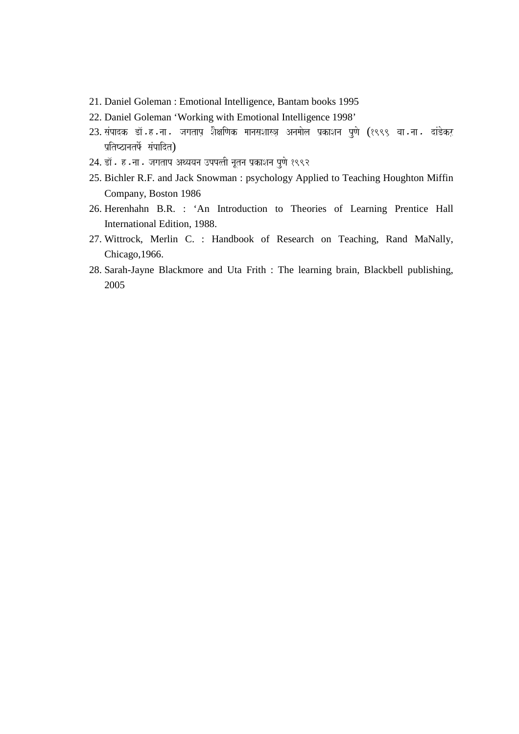- 21. Daniel Goleman : Emotional Intelligence, Bantam books 1995
- 22. Daniel Goleman 'Working with Emotional Intelligence 1998'
- 23. संपादक डॉ.ह.ना. जगताप शैक्षणिक मानसशास्त्र अनमोल प्रकाशन पुणे (१९९९ वा.ना. दांडेकर *p`itYzanatFo- saMpaidt*)
- 24. डॉ. ह.ना. जगताप अथ्ययन उपपत्ती नूतन प्रकाशन पुणे १९९२
- 25. Bichler R.F. and Jack Snowman : psychology Applied to Teaching Houghton Miffin Company, Boston 1986
- 26. Herenhahn B.R. : 'An Introduction to Theories of Learning Prentice Hall International Edition, 1988.
- 27. Wittrock, Merlin C. : Handbook of Research on Teaching, Rand MaNally, Chicago,1966.
- 28. Sarah-Jayne Blackmore and Uta Frith : The learning brain, Blackbell publishing, 2005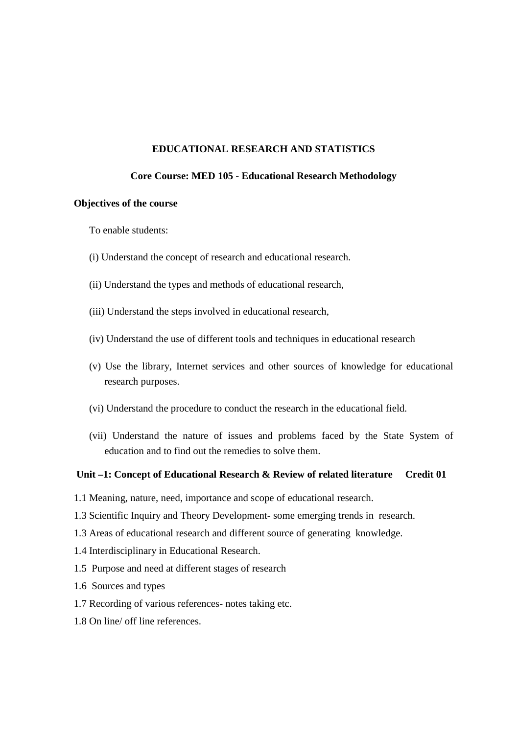#### **EDUCATIONAL RESEARCH AND STATISTICS**

#### **Core Course: MED 105 - Educational Research Methodology**

#### **Objectives of the course**

To enable students:

- (i) Understand the concept of research and educational research.
- (ii) Understand the types and methods of educational research,
- (iii) Understand the steps involved in educational research,
- (iv) Understand the use of different tools and techniques in educational research
- (v) Use the library, Internet services and other sources of knowledge for educational research purposes.
- (vi) Understand the procedure to conduct the research in the educational field.
- (vii) Understand the nature of issues and problems faced by the State System of education and to find out the remedies to solve them.

#### Unit –1: Concept of Educational Research & Review of related literature Credit 01

- 1.1 Meaning, nature, need, importance and scope of educational research.
- 1.3 Scientific Inquiry and Theory Development- some emerging trends in research.
- 1.3 Areas of educational research and different source of generating knowledge.
- 1.4 Interdisciplinary in Educational Research.
- 1.5 Purpose and need at different stages of research
- 1.6 Sources and types
- 1.7 Recording of various references- notes taking etc.
- 1.8 On line/ off line references.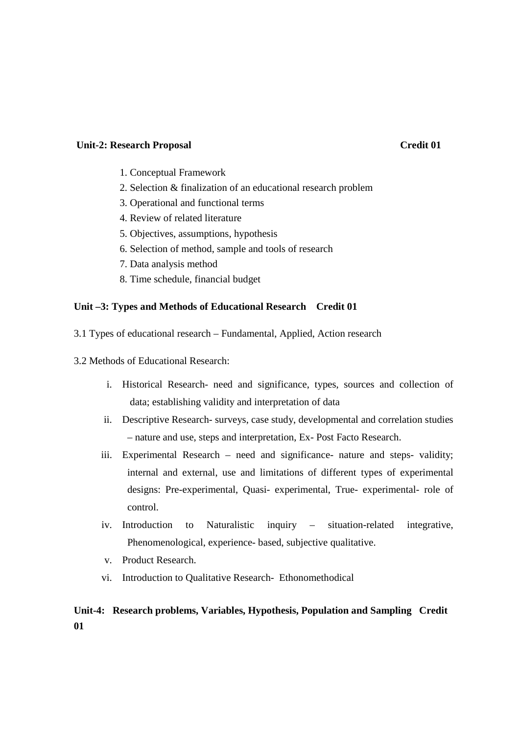#### **Unit-2: Research Proposal Credit 01**

- 1. Conceptual Framework
- 2. Selection & finalization of an educational research problem
- 3. Operational and functional terms
- 4. Review of related literature
- 5. Objectives, assumptions, hypothesis
- 6. Selection of method, sample and tools of research
- 7. Data analysis method
- 8. Time schedule, financial budget

#### **Unit –3: Types and Methods of Educational Research Credit 01**

- 3.1 Types of educational research Fundamental, Applied, Action research
- 3.2 Methods of Educational Research:
	- i. Historical Research- need and significance, types, sources and collection of data; establishing validity and interpretation of data
	- ii. Descriptive Research- surveys, case study, developmental and correlation studies – nature and use, steps and interpretation, Ex- Post Facto Research.
	- iii. Experimental Research need and significance- nature and steps- validity; internal and external, use and limitations of different types of experimental designs: Pre-experimental, Quasi- experimental, True- experimental- role of control.
	- iv. Introduction to Naturalistic inquiry situation-related integrative, Phenomenological, experience- based, subjective qualitative.
	- v. Product Research.
	- vi. Introduction to Qualitative Research- Ethonomethodical

# **Unit-4: Research problems, Variables, Hypothesis, Population and Sampling Credit 01**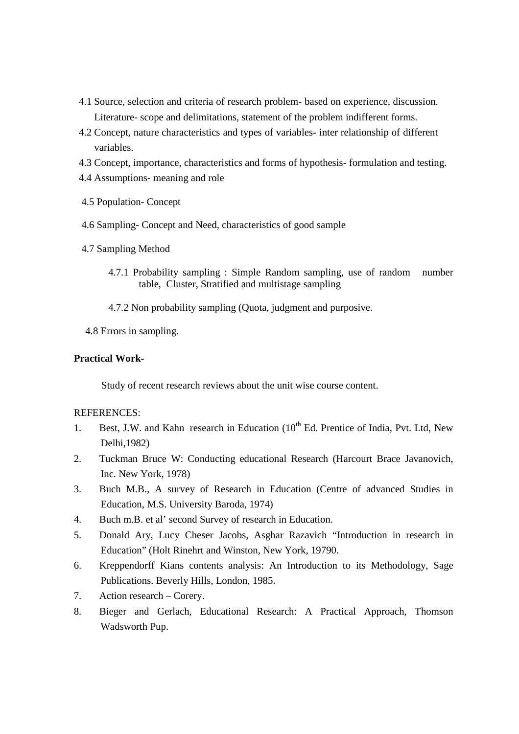- 4.1 Source, selection and criteria of research problem- based on experience, discussion. Literature- scope and delimitations, statement of the problem indifferent forms.
- 4.2 Concept, nature characteristics and types of variables- inter relationship of different variables.
- 4.3 Concept, importance, characteristics and forms of hypothesis- formulation and testing.
- 4.4 Assumptions- meaning and role
- 4.5 Population- Concept
- 4.6 Sampling- Concept and Need, characteristics of good sample
- 4.7 Sampling Method
	- 4.7.1 Probability sampling : Simple Random sampling, use of random number table, Cluster, Stratified and multistage sampling
	- 4.7.2 Non probability sampling (Quota, judgment and purposive.
- 4.8 Errors in sampling.

#### **Practical Work-**

Study of recent research reviews about the unit wise course content.

#### REFERENCES:

- 1. Best, J.W. and Kahn research in Education (10<sup>th</sup> Ed. Prentice of India, Pvt. Ltd, New Delhi,1982)
- 2. Tuckman Bruce W: Conducting educational Research (Harcourt Brace Javanovich, Inc. New York, 1978)
- 3. Buch M.B., A survey of Research in Education (Centre of advanced Studies in Education, M.S. University Baroda, 1974)
- 4. Buch m.B. et al' second Survey of research in Education.
- 5. Donald Ary, Lucy Cheser Jacobs, Asghar Razavich "Introduction in research in Education" (Holt Rinehrt and Winston, New York, 19790.
- 6. Kreppendorff Kians contents analysis: An Introduction to its Methodology, Sage Publications. Beverly Hills, London, 1985.
- 7. Action research Corery.
- 8. Bieger and Gerlach, Educational Research: A Practical Approach, Thomson Wadsworth Pup.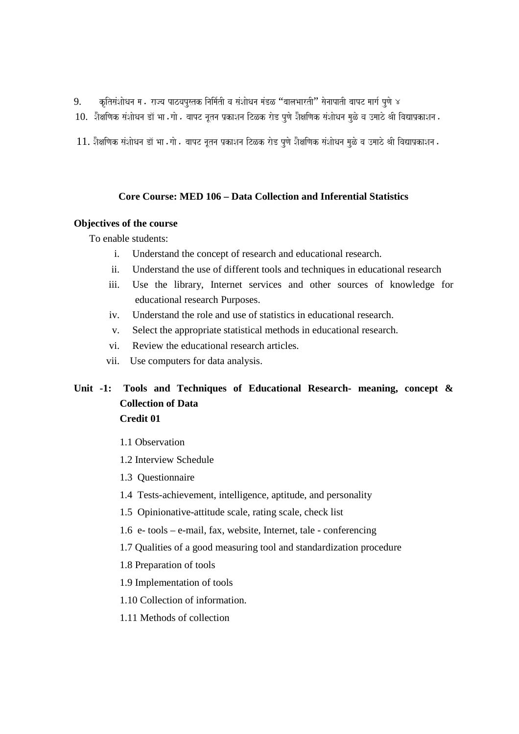- 9. *kRitsaMSaaoQana ma. rajya pazyapustk inaima-tI va saMSaaoQana maMDL* "*baalaBaartI*" *saonaapatI baapT maaga- puNao 4*
- 10. शैक्षणिक संशोधन डॉ भा . गो . बापट नूतन प्रकाशन टिळक रोड पुणे शैक्षणिक संशोधन मुळे व उमाठे श्री विद्याप्रकाशन .
- 11. शैक्षणिक संशोधन डॉ भा . गो . बापट नूतन प्रकाशन टिळक रोड पुणे शैक्षणिक संशोधन मुळे व उमाठे श्री विद्याप्रकाशन .

#### **Core Course: MED 106 – Data Collection and Inferential Statistics**

#### **Objectives of the course**

To enable students:

- i. Understand the concept of research and educational research.
- ii. Understand the use of different tools and techniques in educational research
- iii. Use the library, Internet services and other sources of knowledge for educational research Purposes.
- iv. Understand the role and use of statistics in educational research.
- v. Select the appropriate statistical methods in educational research.
- vi. Review the educational research articles.
- vii. Use computers for data analysis.

# **Unit -1: Tools and Techniques of Educational Research- meaning, concept & Collection of Data Credit 01**

- 1.1 Observation
- 1.2 Interview Schedule
- 1.3 Questionnaire
- 1.4 Tests-achievement, intelligence, aptitude, and personality
- 1.5 Opinionative-attitude scale, rating scale, check list
- 1.6 e- tools e-mail, fax, website, Internet, tale conferencing
- 1.7 Qualities of a good measuring tool and standardization procedure
- 1.8 Preparation of tools
- 1.9 Implementation of tools
- 1.10 Collection of information.
- 1.11 Methods of collection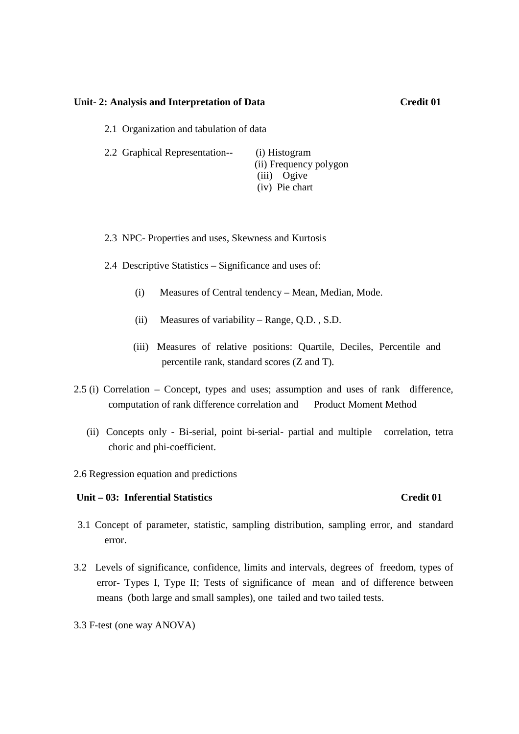#### Unit- 2: Analysis and Interpretation of Data Credit 01

2.1 Organization and tabulation of data

| 2.2 Graphical Representation-- | (i) Histogram          |
|--------------------------------|------------------------|
|                                | (ii) Frequency polygon |
|                                | (iii) Ogive            |
|                                | (iv) Pie chart         |

2.3 NPC- Properties and uses, Skewness and Kurtosis

- 2.4 Descriptive Statistics Significance and uses of:
	- (i) Measures of Central tendency Mean, Median, Mode.
	- (ii) Measures of variability Range, Q.D. , S.D.
	- (iii) Measures of relative positions: Quartile, Deciles, Percentile and percentile rank, standard scores (Z and T).
- 2.5 (i) Correlation Concept, types and uses; assumption and uses of rank difference, computation of rank difference correlation and Product Moment Method
	- (ii) Concepts only Bi-serial, point bi-serial- partial and multiple correlation, tetra choric and phi-coefficient.
- 2.6 Regression equation and predictions

#### **Unit – 03: Inferential Statistics Credit 01**

- 3.1 Concept of parameter, statistic, sampling distribution, sampling error, and standard error.
- 3.2 Levels of significance, confidence, limits and intervals, degrees of freedom, types of error- Types I, Type II; Tests of significance of mean and of difference between means (both large and small samples), one tailed and two tailed tests.
- 3.3 F-test (one way ANOVA)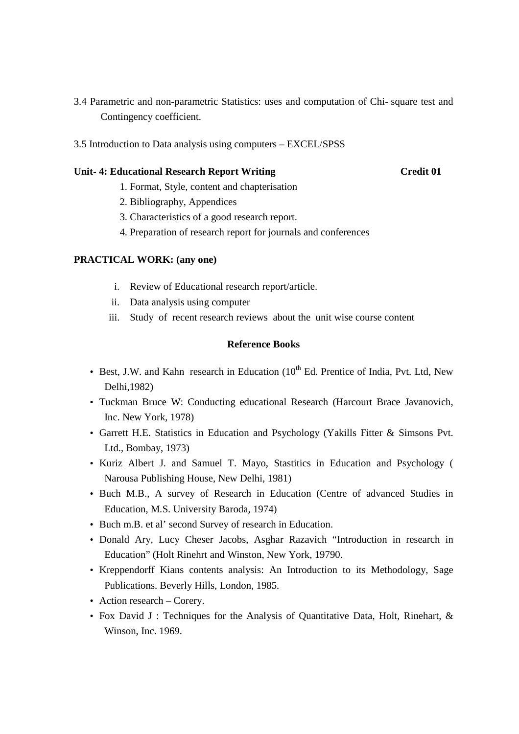- 3.4 Parametric and non-parametric Statistics: uses and computation of Chi- square test and Contingency coefficient.
- 3.5 Introduction to Data analysis using computers EXCEL/SPSS

#### **Unit- 4: Educational Research Report Writing Credit 01**

- 1. Format, Style, content and chapterisation
- 2. Bibliography, Appendices
- 3. Characteristics of a good research report.
- 4. Preparation of research report for journals and conferences

#### **PRACTICAL WORK: (any one)**

- i. Review of Educational research report/article.
- ii. Data analysis using computer
- iii. Study of recent research reviews about the unit wise course content

### **Reference Books**

- Best, J.W. and Kahn research in Education  $(10^{th}$  Ed. Prentice of India, Pvt. Ltd, New Delhi,1982)
- Tuckman Bruce W: Conducting educational Research (Harcourt Brace Javanovich, Inc. New York, 1978)
- Garrett H.E. Statistics in Education and Psychology (Yakills Fitter & Simsons Pvt. Ltd., Bombay, 1973)
- Kuriz Albert J. and Samuel T. Mayo, Stastitics in Education and Psychology ( Narousa Publishing House, New Delhi, 1981)
- Buch M.B., A survey of Research in Education (Centre of advanced Studies in Education, M.S. University Baroda, 1974)
- Buch m.B. et al' second Survey of research in Education.
- Donald Ary, Lucy Cheser Jacobs, Asghar Razavich "Introduction in research in Education" (Holt Rinehrt and Winston, New York, 19790.
- Kreppendorff Kians contents analysis: An Introduction to its Methodology, Sage Publications. Beverly Hills, London, 1985.
- Action research Corery.
- Fox David J : Techniques for the Analysis of Quantitative Data, Holt, Rinehart, & Winson, Inc. 1969.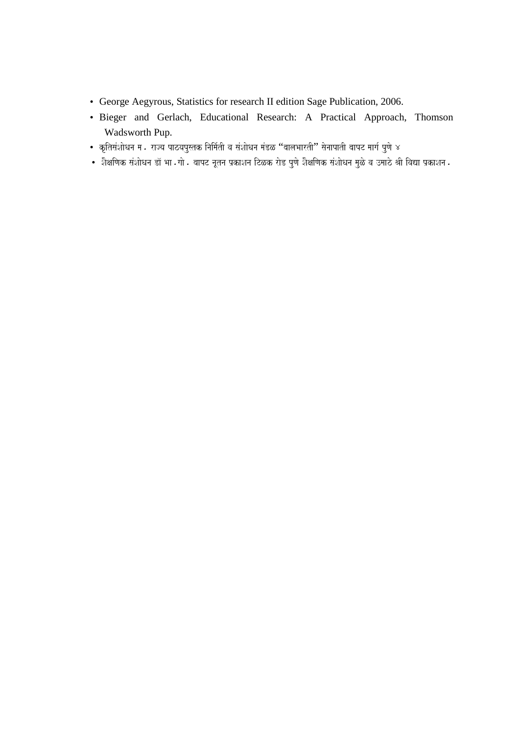- George Aegyrous, Statistics for research II edition Sage Publication, 2006.
- Bieger and Gerlach, Educational Research: A Practical Approach, Thomson Wadsworth Pup.
- *kRitsaMSaaoQana ma. rajya pazyapustk inaima-tI va saMSaaoQana maMDL* "*baalaBaartI*" *saonaapatI baapT maaga- puNao 4*
- शैक्षणिक संशोधन डॉ भा <sub>•</sub> गो बापट नूतन प्रकाशन टिळक रोड पुणे शैक्षणिक संशोधन मुळे व उमाठे श्री विद्या प्रकाशन •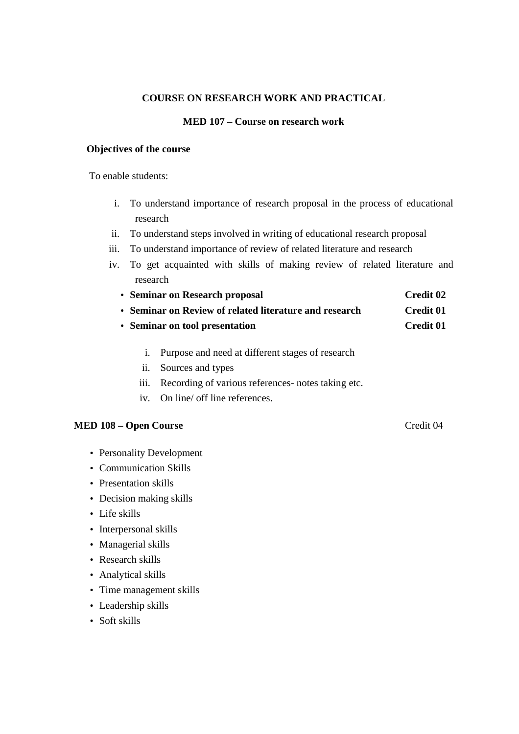### **COURSE ON RESEARCH WORK AND PRACTICAL**

#### **MED 107 – Course on research work**

#### **Objectives of the course**

To enable students:

- i. To understand importance of research proposal in the process of educational research
- ii. To understand steps involved in writing of educational research proposal
- iii. To understand importance of review of related literature and research
- iv. To get acquainted with skills of making review of related literature and research
	- **Seminar on Research proposal Credit 02**
	- **Seminar on Review of related literature and research Credit 01**
	- **Seminar on tool presentation** Credit 01
		- i. Purpose and need at different stages of research
		- ii. Sources and types
		- iii. Recording of various references- notes taking etc.
		- iv. On line/ off line references.

### **MED 108 – Open Course** Credit 04

- Personality Development
- Communication Skills
- Presentation skills
- Decision making skills
- Life skills
- Interpersonal skills
- Managerial skills
- Research skills
- Analytical skills
- Time management skills
- Leadership skills
- Soft skills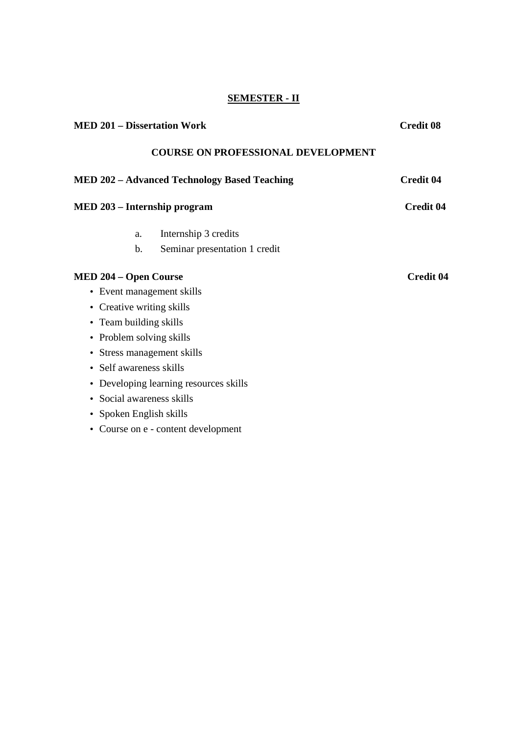# **SEMESTER - II**

| <b>MED 201 – Dissertation Work</b>                  | <b>Credit 08</b> |
|-----------------------------------------------------|------------------|
| <b>COURSE ON PROFESSIONAL DEVELOPMENT</b>           |                  |
| <b>MED 202 - Advanced Technology Based Teaching</b> | <b>Credit 04</b> |
| MED 203 - Internship program                        | <b>Credit 04</b> |
| Internship 3 credits<br>a.                          |                  |
| b.<br>Seminar presentation 1 credit                 |                  |
| <b>MED 204 – Open Course</b>                        | <b>Credit 04</b> |
| • Event management skills                           |                  |
| Creative writing skills<br>$\bullet$                |                  |
| • Team building skills                              |                  |
| Problem solving skills<br>$\bullet$                 |                  |
| Stress management skills<br>$\bullet$               |                  |
| Self awareness skills                               |                  |
| Developing learning resources skills<br>$\bullet$   |                  |
| Social awareness skills                             |                  |
| Spoken English skills<br>$\bullet$                  |                  |
| • Course on e - content development                 |                  |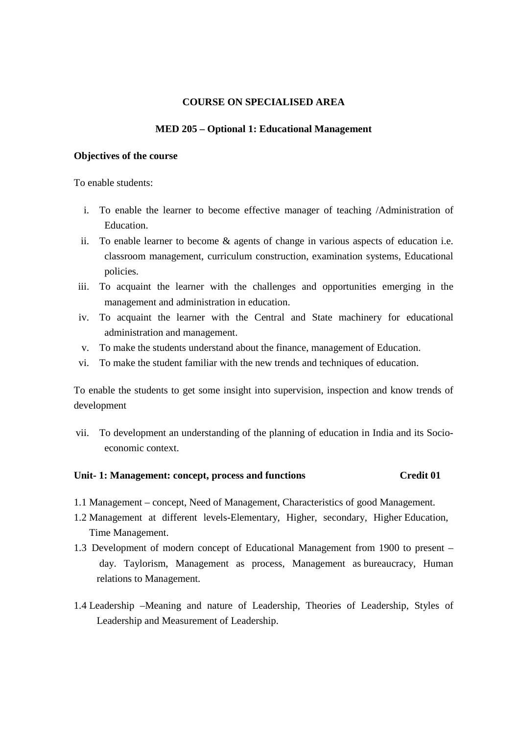#### **COURSE ON SPECIALISED AREA**

#### **MED 205 – Optional 1: Educational Management**

#### **Objectives of the course**

To enable students:

- i. To enable the learner to become effective manager of teaching /Administration of Education.
- ii. To enable learner to become & agents of change in various aspects of education i.e. classroom management, curriculum construction, examination systems, Educational policies.
- iii. To acquaint the learner with the challenges and opportunities emerging in the management and administration in education.
- iv. To acquaint the learner with the Central and State machinery for educational administration and management.
- v. To make the students understand about the finance, management of Education.
- vi. To make the student familiar with the new trends and techniques of education.

To enable the students to get some insight into supervision, inspection and know trends of development

vii. To development an understanding of the planning of education in India and its Socioeconomic context.

#### **Unit- 1: Management: concept, process and functions Credit 01**

- 1.1 Management concept, Need of Management, Characteristics of good Management.
- 1.2 Management at different levels-Elementary, Higher, secondary, Higher Education, Time Management.
- 1.3 Development of modern concept of Educational Management from 1900 to present day. Taylorism, Management as process, Management as bureaucracy, Human relations to Management.
- 1.4 Leadership –Meaning and nature of Leadership, Theories of Leadership, Styles of Leadership and Measurement of Leadership.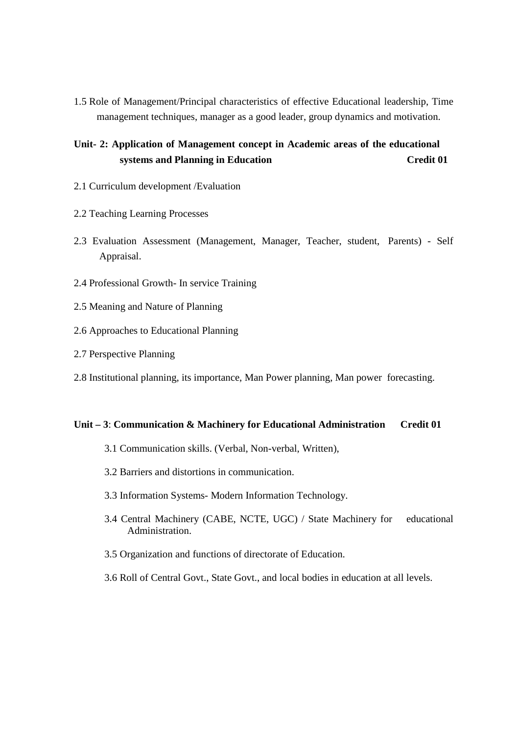1.5 Role of Management/Principal characteristics of effective Educational leadership, Time management techniques, manager as a good leader, group dynamics and motivation.

# **Unit- 2: Application of Management concept in Academic areas of the educational systems and Planning in Education Credit 01**

- 2.1 Curriculum development /Evaluation
- 2.2 Teaching Learning Processes
- 2.3 Evaluation Assessment (Management, Manager, Teacher, student, Parents) Self Appraisal.
- 2.4 Professional Growth- In service Training
- 2.5 Meaning and Nature of Planning
- 2.6 Approaches to Educational Planning
- 2.7 Perspective Planning
- 2.8 Institutional planning, its importance, Man Power planning, Man power forecasting.

#### **Unit – 3**: **Communication & Machinery for Educational Administration Credit 01**

- 3.1 Communication skills. (Verbal, Non-verbal, Written),
- 3.2 Barriers and distortions in communication.
- 3.3 Information Systems- Modern Information Technology.
- 3.4 Central Machinery (CABE, NCTE, UGC) / State Machinery for educational Administration.
- 3.5 Organization and functions of directorate of Education.
- 3.6 Roll of Central Govt., State Govt., and local bodies in education at all levels.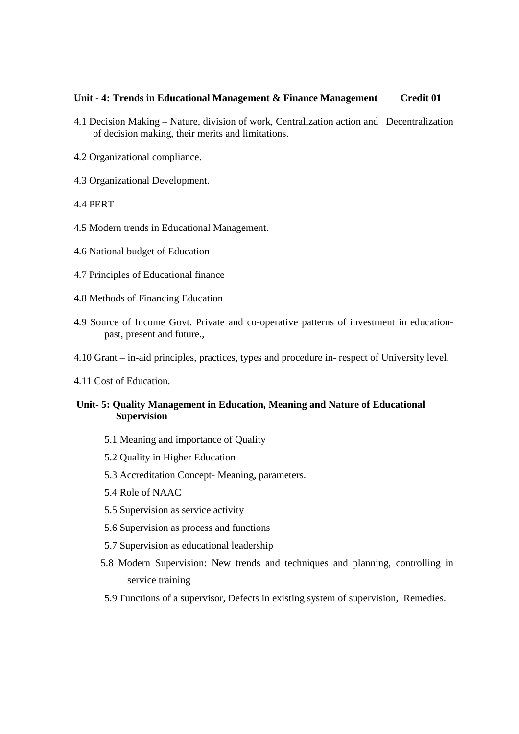#### **Unit - 4: Trends in Educational Management & Finance Management Credit 01**

- 4.1 Decision Making Nature, division of work, Centralization action and Decentralization of decision making, their merits and limitations.
- 4.2 Organizational compliance.
- 4.3 Organizational Development.
- 4.4 PERT
- 4.5 Modern trends in Educational Management.
- 4.6 National budget of Education
- 4.7 Principles of Educational finance
- 4.8 Methods of Financing Education
- 4.9 Source of Income Govt. Private and co-operative patterns of investment in educationpast, present and future.,
- 4.10 Grant in-aid principles, practices, types and procedure in- respect of University level.
- 4.11 Cost of Education.

#### **Unit- 5: Quality Management in Education, Meaning and Nature of Educational Supervision**

- 5.1 Meaning and importance of Quality
- 5.2 Quality in Higher Education
- 5.3 Accreditation Concept- Meaning, parameters.
- 5.4 Role of NAAC
- 5.5 Supervision as service activity
- 5.6 Supervision as process and functions
- 5.7 Supervision as educational leadership
- 5.8 Modern Supervision: New trends and techniques and planning, controlling in service training
- 5.9 Functions of a supervisor, Defects in existing system of supervision, Remedies.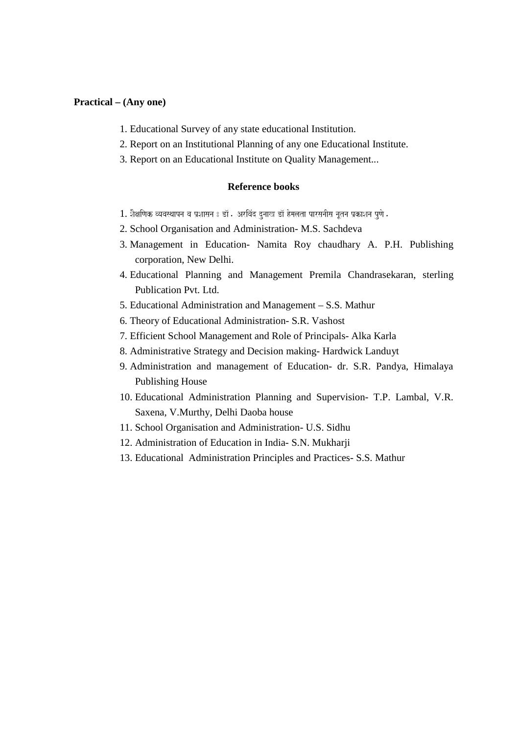#### **Practical – (Any one)**

- 1. Educational Survey of any state educational Institution.
- 2. Report on an Institutional Planning of any one Educational Institute.
- 3. Report on an Educational Institute on Quality Management...

#### **Reference books**

- 1. शैक्षणिक व्यवस्थापन व प्रशासन 8 डॉ . अरविंद दुनाख डॉ हेमलता पारसनीस नूतन प्रकाशन पुणे .
- 2. School Organisation and Administration- M.S. Sachdeva
- 3. Management in Education- Namita Roy chaudhary A. P.H. Publishing corporation, New Delhi.
- 4. Educational Planning and Management Premila Chandrasekaran, sterling Publication Pvt. Ltd.
- 5. Educational Administration and Management S.S. Mathur
- 6. Theory of Educational Administration- S.R. Vashost
- 7. Efficient School Management and Role of Principals- Alka Karla
- 8. Administrative Strategy and Decision making- Hardwick Landuyt
- 9. Administration and management of Education- dr. S.R. Pandya, Himalaya Publishing House
- 10. Educational Administration Planning and Supervision- T.P. Lambal, V.R. Saxena, V.Murthy, Delhi Daoba house
- 11. School Organisation and Administration- U.S. Sidhu
- 12. Administration of Education in India- S.N. Mukharji
- 13. Educational Administration Principles and Practices- S.S. Mathur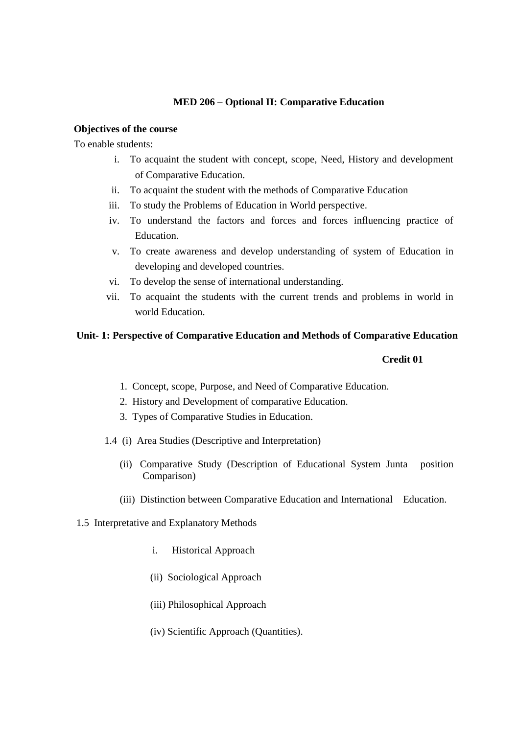### **MED 206 – Optional II: Comparative Education**

#### **Objectives of the course**

To enable students:

- i. To acquaint the student with concept, scope, Need, History and development of Comparative Education.
- ii. To acquaint the student with the methods of Comparative Education
- iii. To study the Problems of Education in World perspective.
- iv. To understand the factors and forces and forces influencing practice of Education.
- v. To create awareness and develop understanding of system of Education in developing and developed countries.
- vi. To develop the sense of international understanding.
- vii. To acquaint the students with the current trends and problems in world in world Education.

### **Unit- 1: Perspective of Comparative Education and Methods of Comparative Education**

#### **Credit 01**

- 1. Concept, scope, Purpose, and Need of Comparative Education.
- 2. History and Development of comparative Education.
- 3. Types of Comparative Studies in Education.
- 1.4(i) Area Studies (Descriptive and Interpretation)
	- (ii) Comparative Study (Description of Educational System Junta position Comparison)
	- (iii) Distinction between Comparative Education and International Education.
- 1.5 Interpretative and Explanatory Methods
	- i. Historical Approach
	- (ii) Sociological Approach
	- (iii) Philosophical Approach
	- (iv) Scientific Approach (Quantities).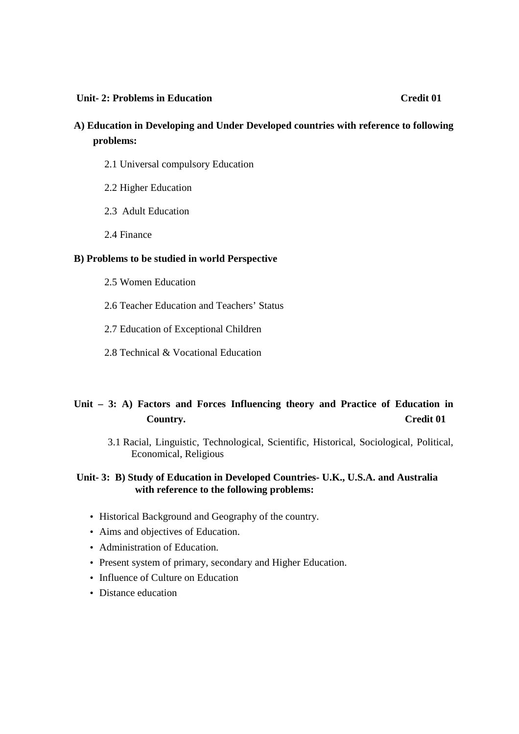#### **Unit-2: Problems in Education Credit 01**

# **A) Education in Developing and Under Developed countries with reference to following problems:**

- 2.1 Universal compulsory Education
- 2.2 Higher Education
- 2.3Adult Education
- 2.4 Finance

### **B) Problems to be studied in world Perspective**

- 2.5 Women Education
- 2.6 Teacher Education and Teachers' Status
- 2.7 Education of Exceptional Children
- 2.8 Technical & Vocational Education

# **Unit – 3: A) Factors and Forces Influencing theory and Practice of Education in Country. Credit 01**

3.1 Racial, Linguistic, Technological, Scientific, Historical, Sociological, Political, Economical, Religious

### **Unit- 3: B) Study of Education in Developed Countries- U.K., U.S.A. and Australia with reference to the following problems:**

- Historical Background and Geography of the country.
- Aims and objectives of Education.
- Administration of Education.
- Present system of primary, secondary and Higher Education.
- Influence of Culture on Education
- Distance education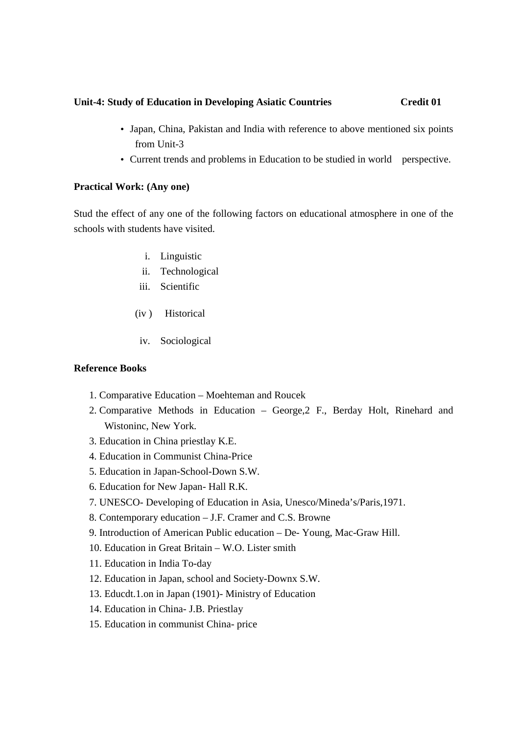#### **Unit-4: Study of Education in Developing Asiatic Countries Credit 01**

- Japan, China, Pakistan and India with reference to above mentioned six points from Unit-3
- Current trends and problems in Education to be studied in world perspective.

# **Practical Work: (Any one)**

Stud the effect of any one of the following factors on educational atmosphere in one of the schools with students have visited.

- i. Linguistic
- ii. Technological
- iii. Scientific
- (iv ) Historical
- iv. Sociological

#### **Reference Books**

- 1. Comparative Education Moehteman and Roucek
- 2. Comparative Methods in Education George,2 F., Berday Holt, Rinehard and Wistoninc, New York.
- 3. Education in China priestlay K.E.
- 4. Education in Communist China-Price
- 5. Education in Japan-School-Down S.W.
- 6. Education for New Japan- Hall R.K.
- 7. UNESCO- Developing of Education in Asia, Unesco/Mineda's/Paris,1971.
- 8. Contemporary education J.F. Cramer and C.S. Browne
- 9. Introduction of American Public education De- Young, Mac-Graw Hill.
- 10. Education in Great Britain W.O. Lister smith
- 11. Education in India To-day
- 12. Education in Japan, school and Society-Downx S.W.
- 13. Educdt.1.on in Japan (1901)- Ministry of Education
- 14. Education in China- J.B. Priestlay
- 15. Education in communist China- price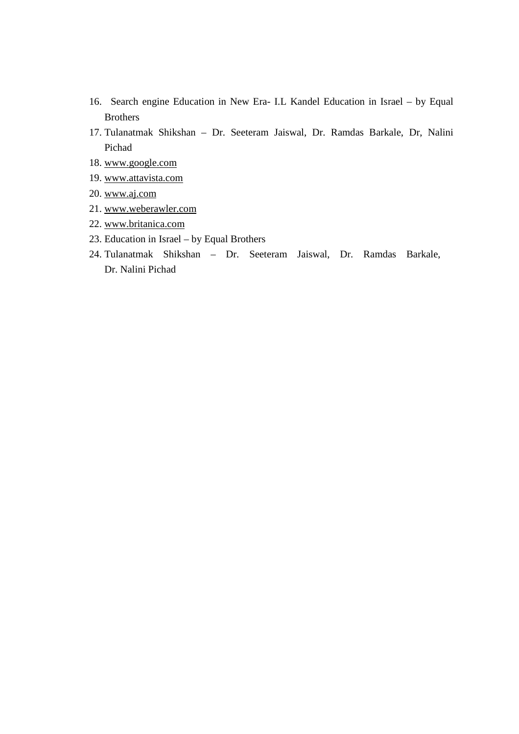- 16. Search engine Education in New Era- I.L Kandel Education in Israel by Equal Brothers
- 17. Tulanatmak Shikshan Dr. Seeteram Jaiswal, Dr. Ramdas Barkale, Dr, Nalini Pichad
- 18. www.google.com
- 19. www.attavista.com
- 20. www.aj.com
- 21. www.weberawler.com
- 22. www.britanica.com
- 23. Education in Israel by Equal Brothers
- 24. Tulanatmak Shikshan Dr. Seeteram Jaiswal, Dr. Ramdas Barkale, Dr. Nalini Pichad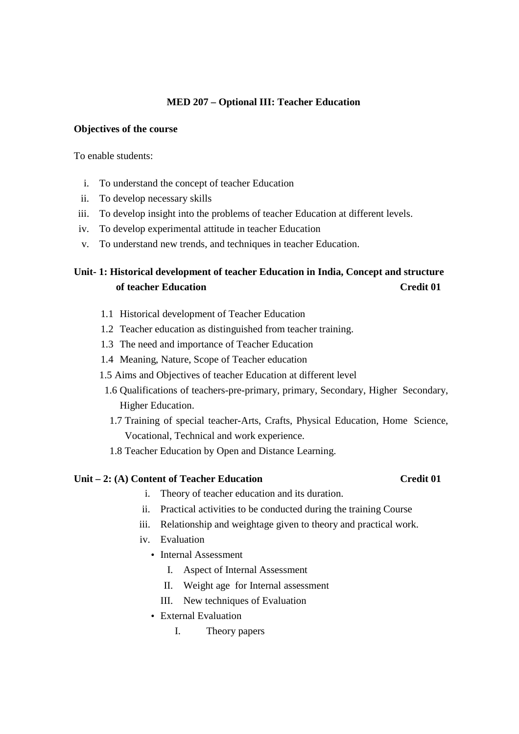## **MED 207 – Optional III: Teacher Education**

#### **Objectives of the course**

To enable students:

- i. To understand the concept of teacher Education
- ii. To develop necessary skills
- iii. To develop insight into the problems of teacher Education at different levels.
- iv. To develop experimental attitude in teacher Education
- v. To understand new trends, and techniques in teacher Education.

# **Unit- 1: Historical development of teacher Education in India, Concept and structure of teacher Education Credit 01**

- 1.1 Historical development of Teacher Education
- 1.2 Teacher education as distinguished from teacher training.
- 1.3 The need and importance of Teacher Education
- 1.4 Meaning, Nature, Scope of Teacher education
- 1.5 Aims and Objectives of teacher Education at different level
	- 1.6 Qualifications of teachers-pre-primary, primary, Secondary, Higher Secondary, Higher Education.
	- 1.7 Training of special teacher-Arts, Crafts, Physical Education, Home Science, Vocational, Technical and work experience.
	- 1.8 Teacher Education by Open and Distance Learning.

#### Unit – 2: (A) Content of Teacher Education Credit 01

- i. Theory of teacher education and its duration.
- ii. Practical activities to be conducted during the training Course
- iii. Relationship and weightage given to theory and practical work.
- iv. Evaluation
	- Internal Assessment
		- I. Aspect of Internal Assessment
		- II. Weight age for Internal assessment
		- III. New techniques of Evaluation
	- External Evaluation
		- I. Theory papers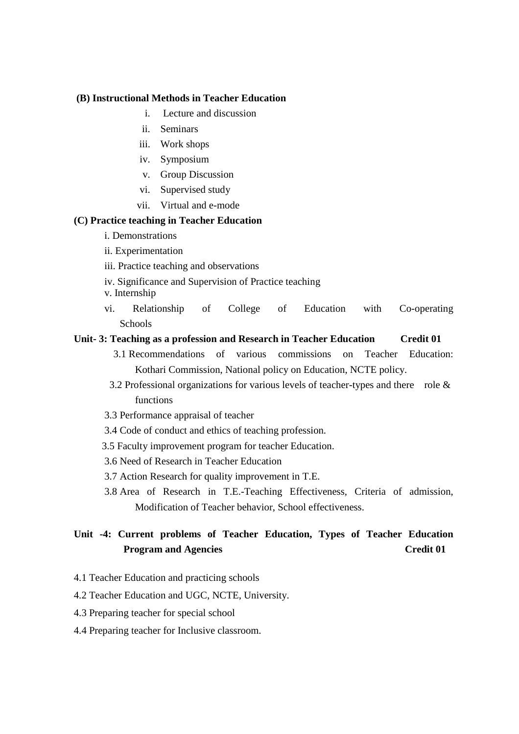#### **(B) Instructional Methods in Teacher Education**

- i. Lecture and discussion
- ii. Seminars
- iii. Work shops
- iv. Symposium
- v. Group Discussion
- vi. Supervised study
- vii. Virtual and e-mode

#### **(C) Practice teaching in Teacher Education**

- i. Demonstrations
- ii. Experimentation
- iii. Practice teaching and observations
- iv. Significance and Supervision of Practice teaching
- v. Internship
- vi. Relationship of College of Education with Co-operating Schools

#### **Unit- 3: Teaching as a profession and Research in Teacher Education Credit 01**

- 3.1 Recommendations of various commissions on Teacher Education: Kothari Commission, National policy on Education, NCTE policy.
- 3.2 Professional organizations for various levels of teacher-types and there role & functions
- 3.3 Performance appraisal of teacher
- 3.4 Code of conduct and ethics of teaching profession.
- 3.5 Faculty improvement program for teacher Education.
- 3.6 Need of Research in Teacher Education
- 3.7 Action Research for quality improvement in T.E.
- 3.8 Area of Research in T.E.-Teaching Effectiveness, Criteria of admission, Modification of Teacher behavior, School effectiveness.

# **Unit -4: Current problems of Teacher Education, Types of Teacher Education Program and Agencies** Credit 01

- 4.1 Teacher Education and practicing schools
- 4.2 Teacher Education and UGC, NCTE, University.
- 4.3 Preparing teacher for special school
- 4.4 Preparing teacher for Inclusive classroom.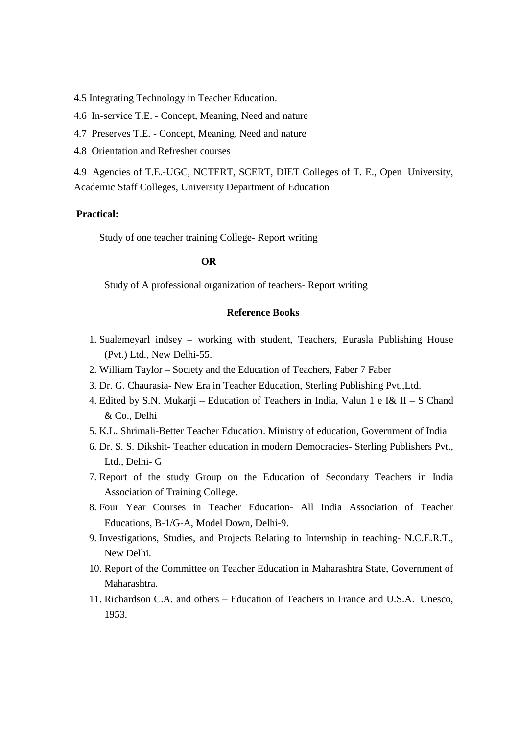4.5 Integrating Technology in Teacher Education.

4.6 In-service T.E. - Concept, Meaning, Need and nature

- 4.7 Preserves T.E. Concept, Meaning, Need and nature
- 4.8 Orientation and Refresher courses

4.9 Agencies of T.E.-UGC, NCTERT, SCERT, DIET Colleges of T. E., Open University, Academic Staff Colleges, University Department of Education

### **Practical:**

Study of one teacher training College- Report writing

#### **OR**

Study of A professional organization of teachers- Report writing

### **Reference Books**

- 1. Sualemeyarl indsey working with student, Teachers, Eurasla Publishing House (Pvt.) Ltd., New Delhi-55.
- 2. William Taylor Society and the Education of Teachers, Faber 7 Faber
- 3. Dr. G. Chaurasia- New Era in Teacher Education, Sterling Publishing Pvt.,Ltd.
- 4. Edited by S.N. Mukarji Education of Teachers in India, Valun 1 e I& II S Chand & Co., Delhi
- 5. K.L. Shrimali-Better Teacher Education. Ministry of education, Government of India
- 6. Dr. S. S. Dikshit- Teacher education in modern Democracies- Sterling Publishers Pvt., Ltd., Delhi- G
- 7. Report of the study Group on the Education of Secondary Teachers in India Association of Training College.
- 8. Four Year Courses in Teacher Education- All India Association of Teacher Educations, B-1/G-A, Model Down, Delhi-9.
- 9. Investigations, Studies, and Projects Relating to Internship in teaching- N.C.E.R.T., New Delhi.
- 10. Report of the Committee on Teacher Education in Maharashtra State, Government of Maharashtra.
- 11. Richardson C.A. and others Education of Teachers in France and U.S.A. Unesco, 1953.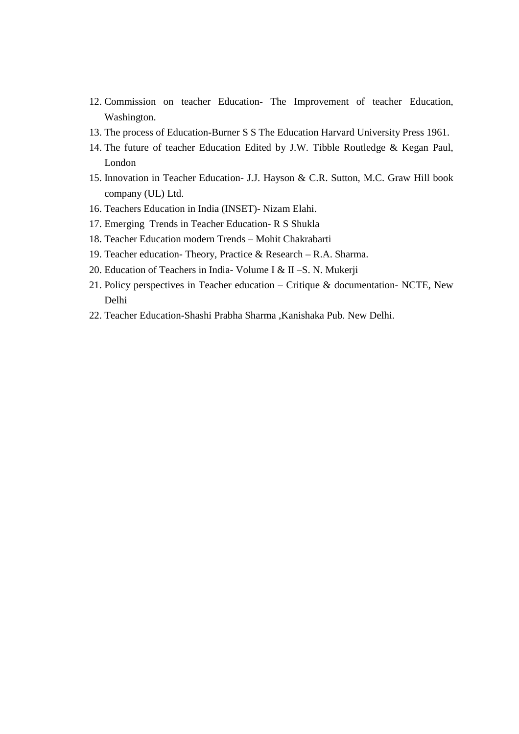- 12. Commission on teacher Education- The Improvement of teacher Education, Washington.
- 13. The process of Education-Burner S S The Education Harvard University Press 1961.
- 14. The future of teacher Education Edited by J.W. Tibble Routledge & Kegan Paul, London
- 15. Innovation in Teacher Education- J.J. Hayson & C.R. Sutton, M.C. Graw Hill book company (UL) Ltd.
- 16. Teachers Education in India (INSET)- Nizam Elahi.
- 17. Emerging Trends in Teacher Education- R S Shukla
- 18. Teacher Education modern Trends Mohit Chakrabarti
- 19. Teacher education- Theory, Practice & Research R.A. Sharma.
- 20. Education of Teachers in India- Volume I & II –S. N. Mukerji
- 21. Policy perspectives in Teacher education Critique & documentation- NCTE, New Delhi
- 22. Teacher Education-Shashi Prabha Sharma ,Kanishaka Pub. New Delhi.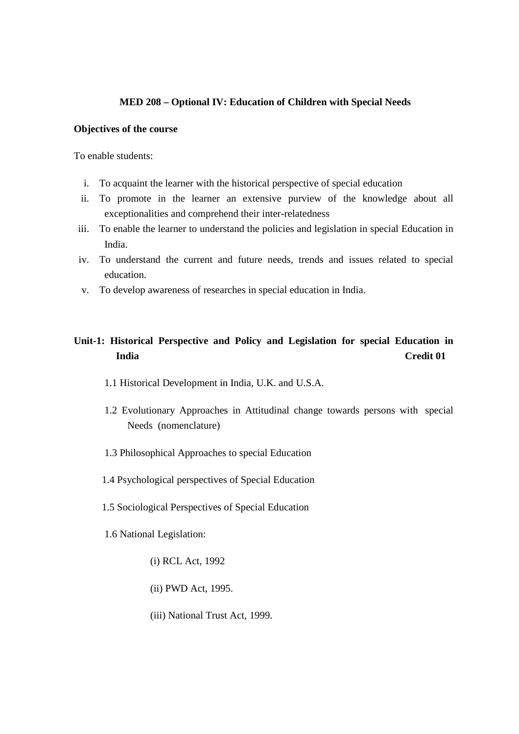#### **MED 208 – Optional IV: Education of Children with Special Needs**

#### **Objectives of the course**

To enable students:

- i. To acquaint the learner with the historical perspective of special education
- ii. To promote in the learner an extensive purview of the knowledge about all exceptionalities and comprehend their inter-relatedness
- iii. To enable the learner to understand the policies and legislation in special Education in India.
- iv. To understand the current and future needs, trends and issues related to special education.
- v. To develop awareness of researches in special education in India.

# **Unit-1: Historical Perspective and Policy and Legislation for special Education in India Credit 01**

- 1.1 Historical Development in India, U.K. and U.S.A.
- 1.2 Evolutionary Approaches in Attitudinal change towards persons with special Needs (nomenclature)
- 1.3 Philosophical Approaches to special Education
- 1.4 Psychological perspectives of Special Education
- 1.5 Sociological Perspectives of Special Education
- 1.6 National Legislation:
	- (i) RCL Act, 1992
	- (ii) PWD Act, 1995.
	- (iii) National Trust Act, 1999.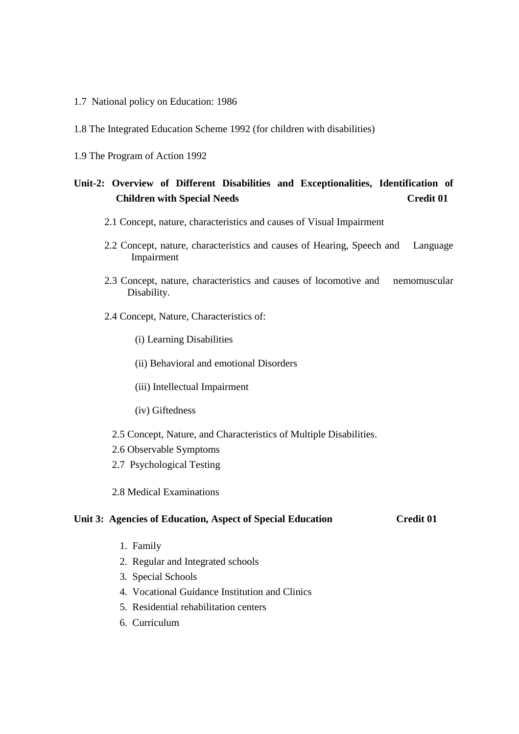- 1.7 National policy on Education: 1986
- 1.8 The Integrated Education Scheme 1992 (for children with disabilities)
- 1.9 The Program of Action 1992

# **Unit-2: Overview of Different Disabilities and Exceptionalities, Identification of Children with Special Needs** Credit 01

- 2.1 Concept, nature, characteristics and causes of Visual Impairment
- 2.2 Concept, nature, characteristics and causes of Hearing, Speech and Language Impairment
- 2.3 Concept, nature, characteristics and causes of locomotive and nemomuscular Disability.
- 2.4 Concept, Nature, Characteristics of:
	- (i) Learning Disabilities
	- (ii) Behavioral and emotional Disorders
	- (iii) Intellectual Impairment
	- (iv) Giftedness
	- 2.5 Concept, Nature, and Characteristics of Multiple Disabilities.
	- 2.6 Observable Symptoms
	- 2.7 Psychological Testing
	- 2.8 Medical Examinations

#### **Unit 3: Agencies of Education, Aspect of Special Education Credit 01**

- 1. Family
- 2. Regular and Integrated schools
- 3. Special Schools
- 4. Vocational Guidance Institution and Clinics
- 5. Residential rehabilitation centers
- 6. Curriculum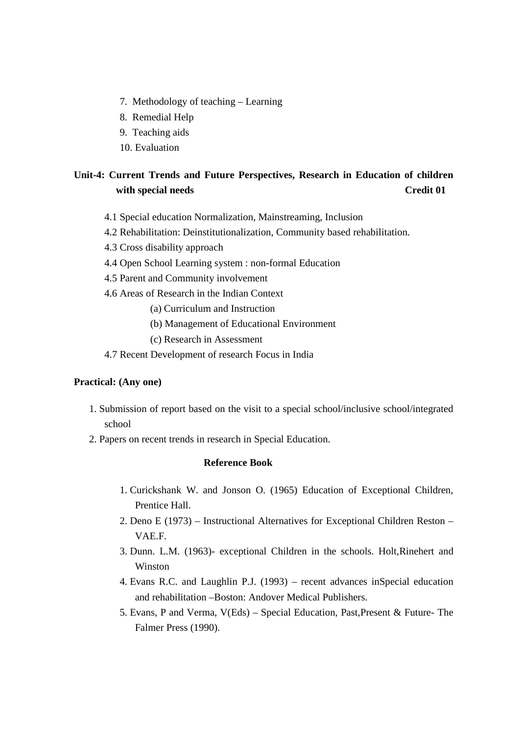- 7. Methodology of teaching Learning
- 8. Remedial Help
- 9. Teaching aids
- 10. Evaluation

# **Unit-4: Current Trends and Future Perspectives, Research in Education of children with special needs** Credit 01

- 4.1 Special education Normalization, Mainstreaming, Inclusion
- 4.2 Rehabilitation: Deinstitutionalization, Community based rehabilitation.
- 4.3 Cross disability approach
- 4.4 Open School Learning system : non-formal Education
- 4.5 Parent and Community involvement
- 4.6 Areas of Research in the Indian Context
	- (a) Curriculum and Instruction
	- (b) Management of Educational Environment
	- (c) Research in Assessment
- 4.7 Recent Development of research Focus in India

#### **Practical: (Any one)**

- 1. Submission of report based on the visit to a special school/inclusive school/integrated school
- 2. Papers on recent trends in research in Special Education.

#### **Reference Book**

- 1. Curickshank W. and Jonson O. (1965) Education of Exceptional Children, Prentice Hall.
- 2. Deno E (1973) Instructional Alternatives for Exceptional Children Reston VAE.F.
- 3. Dunn. L.M. (1963)- exceptional Children in the schools. Holt,Rinehert and Winston
- 4. Evans R.C. and Laughlin P.J. (1993) recent advances inSpecial education and rehabilitation –Boston: Andover Medical Publishers.
- 5. Evans, P and Verma, V(Eds) Special Education, Past,Present & Future- The Falmer Press (1990).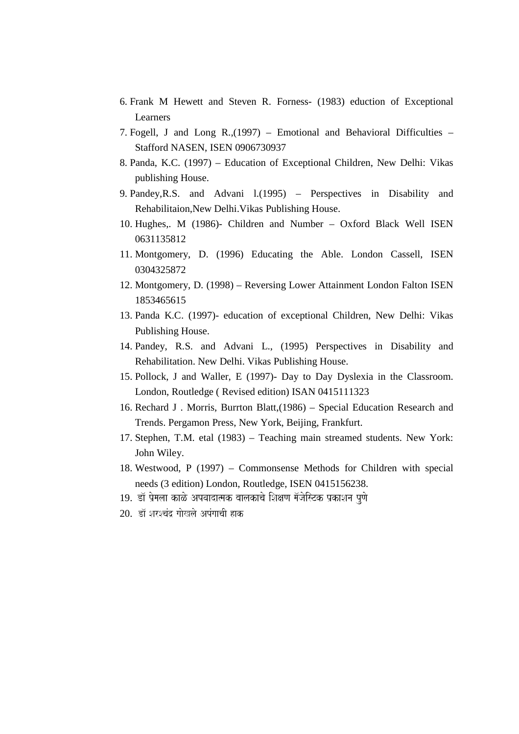- 6. Frank M Hewett and Steven R. Forness- (1983) eduction of Exceptional Learners
- 7. Fogell, J and Long R.,(1997) Emotional and Behavioral Difficulties Stafford NASEN, ISEN 0906730937
- 8. Panda, K.C. (1997) Education of Exceptional Children, New Delhi: Vikas publishing House.
- 9. Pandey,R.S. and Advani l.(1995) Perspectives in Disability and Rehabilitaion,New Delhi.Vikas Publishing House.
- 10. Hughes,. M (1986)- Children and Number Oxford Black Well ISEN 0631135812
- 11. Montgomery, D. (1996) Educating the Able. London Cassell, ISEN 0304325872
- 12. Montgomery, D. (1998) Reversing Lower Attainment London Falton ISEN 1853465615
- 13. Panda K.C. (1997)- education of exceptional Children, New Delhi: Vikas Publishing House.
- 14. Pandey, R.S. and Advani L., (1995) Perspectives in Disability and Rehabilitation. New Delhi. Vikas Publishing House.
- 15. Pollock, J and Waller, E (1997)- Day to Day Dyslexia in the Classroom. London, Routledge ( Revised edition) ISAN 0415111323
- 16. Rechard J . Morris, Burrton Blatt,(1986) Special Education Research and Trends. Pergamon Press, New York, Beijing, Frankfurt.
- 17. Stephen, T.M. etal (1983) Teaching main streamed students. New York: John Wiley.
- 18. Westwood, P (1997) Commonsense Methods for Children with special needs (3 edition) London, Routledge, ISEN 0415156238.
- 19. डॉ प्रेमला काळे अपवादात्मक बालकाचे शिक्षण मॅजेस्टिक प्रकाशन पुणे
- 20. *Da^ SarScaMd` gaaoKlao ApMgaacaI hak*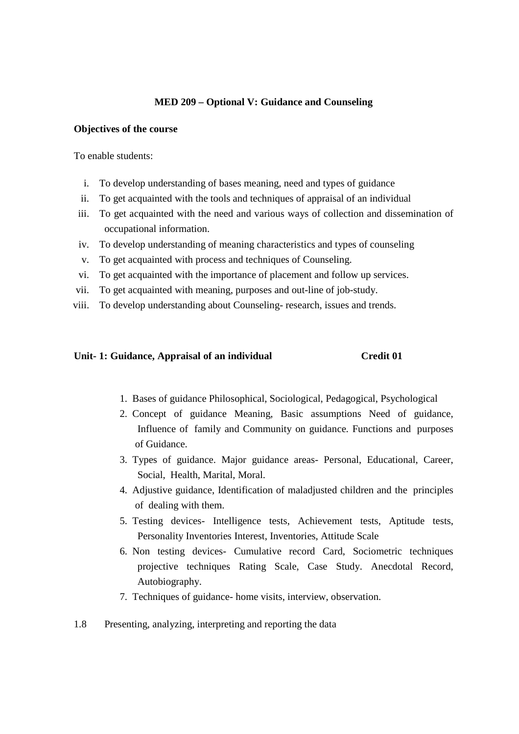### **MED 209 – Optional V: Guidance and Counseling**

#### **Objectives of the course**

To enable students:

- i. To develop understanding of bases meaning, need and types of guidance
- ii. To get acquainted with the tools and techniques of appraisal of an individual
- iii. To get acquainted with the need and various ways of collection and dissemination of occupational information.
- iv. To develop understanding of meaning characteristics and types of counseling
- v. To get acquainted with process and techniques of Counseling.
- vi. To get acquainted with the importance of placement and follow up services.
- vii. To get acquainted with meaning, purposes and out-line of job-study.
- viii. To develop understanding about Counseling- research, issues and trends.

#### Unit- 1: Guidance, Appraisal of an individual Credit 01

- 1. Bases of guidance Philosophical, Sociological, Pedagogical, Psychological
- 2. Concept of guidance Meaning, Basic assumptions Need of guidance, Influence of family and Community on guidance. Functions and purposes of Guidance.
- 3. Types of guidance. Major guidance areas- Personal, Educational, Career, Social, Health, Marital, Moral.
- 4. Adjustive guidance, Identification of maladjusted children and the principles of dealing with them.
- 5. Testing devices- Intelligence tests, Achievement tests, Aptitude tests, Personality Inventories Interest, Inventories, Attitude Scale
- 6. Non testing devices- Cumulative record Card, Sociometric techniques projective techniques Rating Scale, Case Study. Anecdotal Record, Autobiography.
- 7. Techniques of guidance- home visits, interview, observation.
- 1.8 Presenting, analyzing, interpreting and reporting the data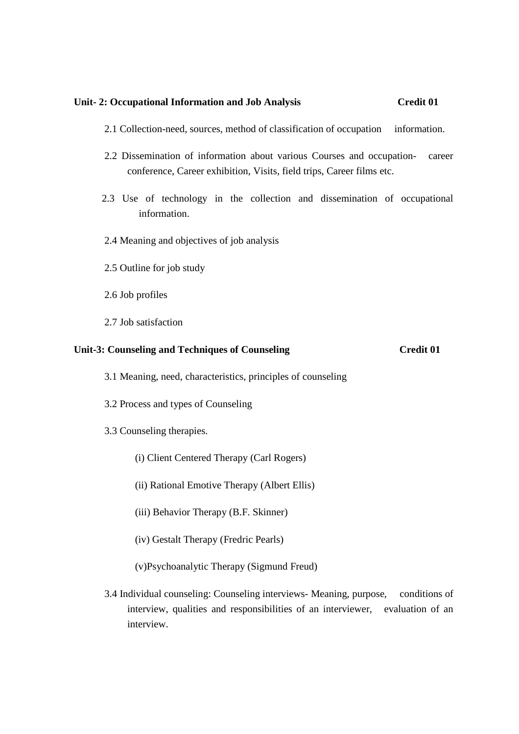#### **Unit- 2: Occupational Information and Job Analysis Credit 01**

- 2.1 Collection-need, sources, method of classification of occupation information.
- 2.2 Dissemination of information about various Courses and occupation- career conference, Career exhibition, Visits, field trips, Career films etc.
- 2.3 Use of technology in the collection and dissemination of occupational information.
- 2.4 Meaning and objectives of job analysis
- 2.5 Outline for job study
- 2.6 Job profiles
- 2.7 Job satisfaction

#### Unit-3: Counseling and Techniques of Counseling Credit 01

- 3.1 Meaning, need, characteristics, principles of counseling
- 3.2 Process and types of Counseling
- 3.3 Counseling therapies.
	- (i) Client Centered Therapy (Carl Rogers)
	- (ii) Rational Emotive Therapy (Albert Ellis)
	- (iii) Behavior Therapy (B.F. Skinner)
	- (iv) Gestalt Therapy (Fredric Pearls)
	- (v)Psychoanalytic Therapy (Sigmund Freud)
- 3.4 Individual counseling: Counseling interviews- Meaning, purpose, conditions of interview, qualities and responsibilities of an interviewer, evaluation of an interview.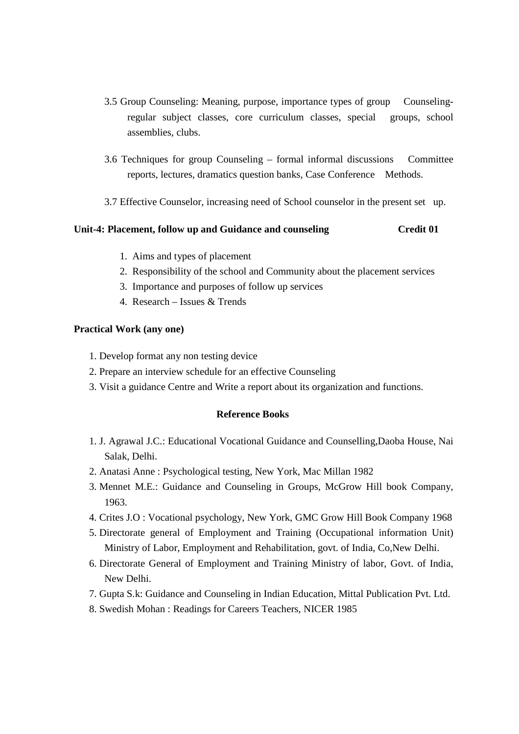- 3.5 Group Counseling: Meaning, purpose, importance types of group Counselingregular subject classes, core curriculum classes, special groups, school assemblies, clubs.
- 3.6 Techniques for group Counseling formal informal discussions Committee reports, lectures, dramatics question banks, Case Conference Methods.
- 3.7 Effective Counselor, increasing need of School counselor in the present set up.

#### **Unit-4: Placement, follow up and Guidance and counseling Credit 01**

- 1. Aims and types of placement
- 2. Responsibility of the school and Community about the placement services
- 3. Importance and purposes of follow up services
- 4. Research Issues & Trends

#### **Practical Work (any one)**

- 1. Develop format any non testing device
- 2. Prepare an interview schedule for an effective Counseling
- 3. Visit a guidance Centre and Write a report about its organization and functions.

#### **Reference Books**

- 1. J. Agrawal J.C.: Educational Vocational Guidance and Counselling,Daoba House, Nai Salak, Delhi.
- 2. Anatasi Anne : Psychological testing, New York, Mac Millan 1982
- 3. Mennet M.E.: Guidance and Counseling in Groups, McGrow Hill book Company, 1963.
- 4. Crites J.O : Vocational psychology, New York, GMC Grow Hill Book Company 1968
- 5. Directorate general of Employment and Training (Occupational information Unit) Ministry of Labor, Employment and Rehabilitation, govt. of India, Co,New Delhi.
- 6. Directorate General of Employment and Training Ministry of labor, Govt. of India, New Delhi.
- 7. Gupta S.k: Guidance and Counseling in Indian Education, Mittal Publication Pvt. Ltd.
- 8. Swedish Mohan : Readings for Careers Teachers, NICER 1985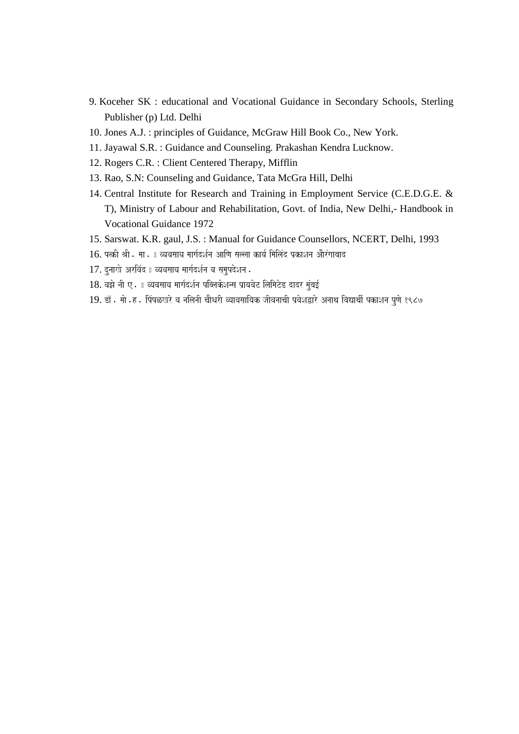- 9. Koceher SK : educational and Vocational Guidance in Secondary Schools, Sterling Publisher (p) Ltd. Delhi
- 10. Jones A.J. : principles of Guidance, McGraw Hill Book Co., New York.
- 11. Jayawal S.R. : Guidance and Counseling. Prakashan Kendra Lucknow.
- 12. Rogers C.R. : Client Centered Therapy, Mifflin
- 13. Rao, S.N: Counseling and Guidance, Tata McGra Hill, Delhi
- 14. Central Institute for Research and Training in Employment Service (C.E.D.G.E. & T), Ministry of Labour and Rehabilitation, Govt. of India, New Delhi,- Handbook in Vocational Guidance 1972
- 15. Sarswat. K.R. gaul, J.S. : Manual for Guidance Counsellors, NCERT, Delhi, 1993
- $16$ . पत्की श्री . मा . : व्यवसाय मार्गदर्शन आणि सल्ला कार्य मिलिंद प्रकाशन औरंगाबाद
- 17. दुनाखे अरविंद 8 व्यवसाय मार्गदर्शन व समुपदेशन .
- 18. वझे नी ए. : व्यवसाय मार्गदर्शन पब्लिकेशन्स प्रायवेट लिमिटेड दादर मुंबई
- 19. डॉ. मो.ह. पिंपळखरे व नलिनी चौधरी व्यावसायिक जीवनाची प्रवेशद्वारे अनाथ विद्यार्थी पकाशन पूर्ण १९८७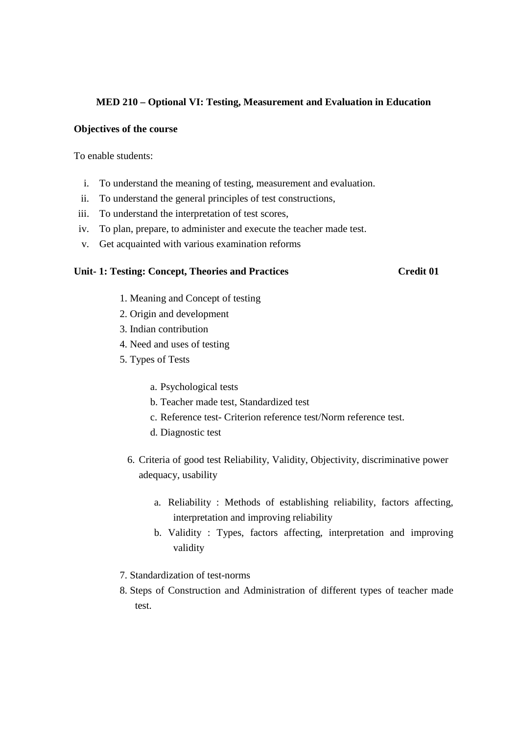#### **MED 210 – Optional VI: Testing, Measurement and Evaluation in Education**

#### **Objectives of the course**

To enable students:

- i. To understand the meaning of testing, measurement and evaluation.
- ii. To understand the general principles of test constructions,
- iii. To understand the interpretation of test scores,
- iv. To plan, prepare, to administer and execute the teacher made test.
- v. Get acquainted with various examination reforms

### Unit- 1: Testing: Concept, Theories and Practices Credit 01

- 1. Meaning and Concept of testing
- 2. Origin and development
- 3. Indian contribution
- 4. Need and uses of testing
- 5. Types of Tests
	- a. Psychological tests
	- b. Teacher made test, Standardized test
	- c. Reference test- Criterion reference test/Norm reference test.
	- d. Diagnostic test
	- 6. Criteria of good test Reliability, Validity, Objectivity, discriminative power adequacy, usability
		- a. Reliability : Methods of establishing reliability, factors affecting, interpretation and improving reliability
		- b. Validity : Types, factors affecting, interpretation and improving validity
- 7. Standardization of test-norms
- 8. Steps of Construction and Administration of different types of teacher made test.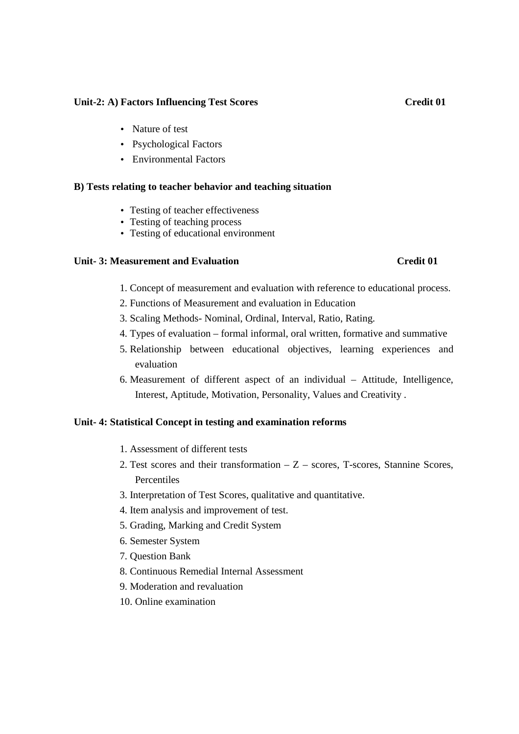#### Unit-2: A) Factors Influencing Test Scores **Credit 01**

- Nature of test
- Psychological Factors
- Environmental Factors

#### **B) Tests relating to teacher behavior and teaching situation**

- Testing of teacher effectiveness
- Testing of teaching process
- Testing of educational environment

#### **Unit- 3: Measurement and Evaluation Credit 01**

#### 1. Concept of measurement and evaluation with reference to educational process.

- 2. Functions of Measurement and evaluation in Education
- 3. Scaling Methods- Nominal, Ordinal, Interval, Ratio, Rating.
- 4. Types of evaluation formal informal, oral written, formative and summative
- 5. Relationship between educational objectives, learning experiences and evaluation
- 6. Measurement of different aspect of an individual Attitude, Intelligence, Interest, Aptitude, Motivation, Personality, Values and Creativity .

#### **Unit- 4: Statistical Concept in testing and examination reforms**

- 1. Assessment of different tests
- 2. Test scores and their transformation  $-Z$  scores, T-scores, Stannine Scores, **Percentiles**
- 3. Interpretation of Test Scores, qualitative and quantitative.
- 4. Item analysis and improvement of test.
- 5. Grading, Marking and Credit System
- 6. Semester System
- 7. Question Bank
- 8. Continuous Remedial Internal Assessment
- 9. Moderation and revaluation
- 10. Online examination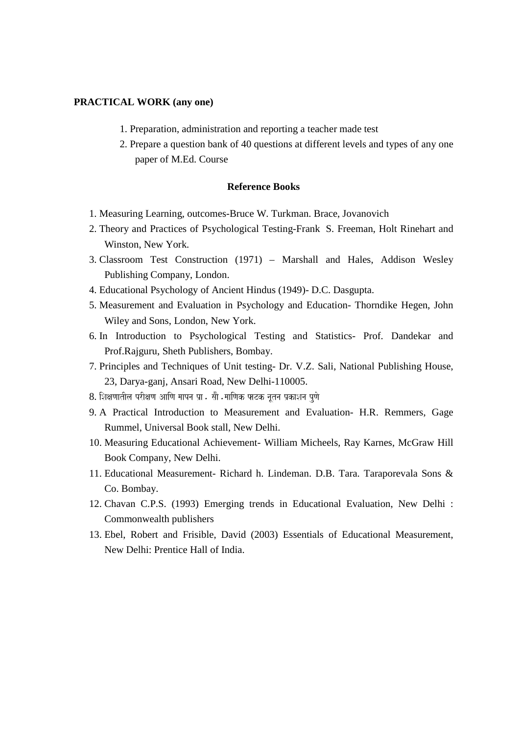#### **PRACTICAL WORK (any one)**

- 1. Preparation, administration and reporting a teacher made test
- 2. Prepare a question bank of 40 questions at different levels and types of any one paper of M.Ed. Course

#### **Reference Books**

- 1. Measuring Learning, outcomes-Bruce W. Turkman. Brace, Jovanovich
- 2. Theory and Practices of Psychological Testing-Frank S. Freeman, Holt Rinehart and Winston, New York.
- 3. Classroom Test Construction (1971) Marshall and Hales, Addison Wesley Publishing Company, London.
- 4. Educational Psychology of Ancient Hindus (1949)- D.C. Dasgupta.
- 5. Measurement and Evaluation in Psychology and Education- Thorndike Hegen, John Wiley and Sons, London, New York.
- 6. In Introduction to Psychological Testing and Statistics- Prof. Dandekar and Prof.Rajguru, Sheth Publishers, Bombay.
- 7. Principles and Techniques of Unit testing- Dr. V.Z. Sali, National Publishing House, 23, Darya-ganj, Ansari Road, New Delhi-110005.
- 8. शिक्षणातील परीक्षण आणि मापन प्रा . सौ .माणिक पाटक नतन प्रकाशन पणे
- 9. A Practical Introduction to Measurement and Evaluation- H.R. Remmers, Gage Rummel, Universal Book stall, New Delhi.
- 10. Measuring Educational Achievement- William Micheels, Ray Karnes, McGraw Hill Book Company, New Delhi.
- 11. Educational Measurement- Richard h. Lindeman. D.B. Tara. Taraporevala Sons & Co. Bombay.
- 12. Chavan C.P.S. (1993) Emerging trends in Educational Evaluation, New Delhi : Commonwealth publishers
- 13. Ebel, Robert and Frisible, David (2003) Essentials of Educational Measurement, New Delhi: Prentice Hall of India.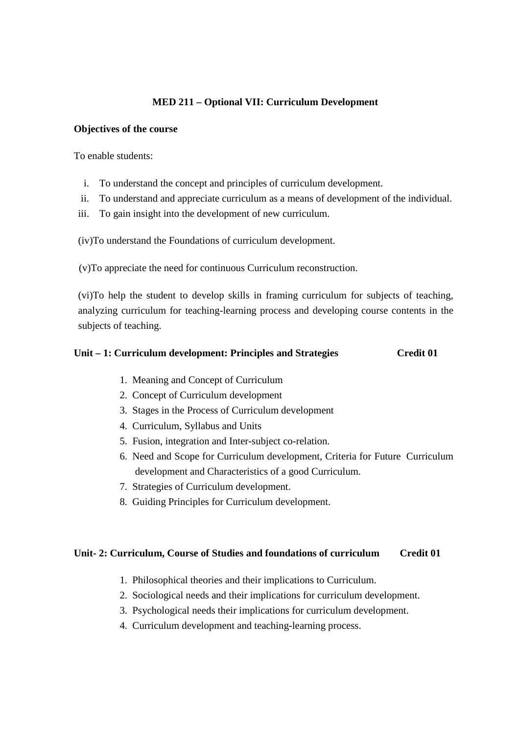# **MED 211 – Optional VII: Curriculum Development**

#### **Objectives of the course**

To enable students:

- i. To understand the concept and principles of curriculum development.
- ii. To understand and appreciate curriculum as a means of development of the individual.
- iii. To gain insight into the development of new curriculum.

(iv)To understand the Foundations of curriculum development.

(v)To appreciate the need for continuous Curriculum reconstruction.

(vi)To help the student to develop skills in framing curriculum for subjects of teaching, analyzing curriculum for teaching-learning process and developing course contents in the subjects of teaching.

#### Unit – 1: Curriculum development: Principles and Strategies Credit 01

- 1. Meaning and Concept of Curriculum
- 2. Concept of Curriculum development
- 3. Stages in the Process of Curriculum development
- 4. Curriculum, Syllabus and Units
- 5. Fusion, integration and Inter-subject co-relation.
- 6. Need and Scope for Curriculum development, Criteria for Future Curriculum development and Characteristics of a good Curriculum.
- 7. Strategies of Curriculum development.
- 8. Guiding Principles for Curriculum development.

#### **Unit- 2: Curriculum, Course of Studies and foundations of curriculum Credit 01**

- 1. Philosophical theories and their implications to Curriculum.
- 2. Sociological needs and their implications for curriculum development.
- 3. Psychological needs their implications for curriculum development.
- 4. Curriculum development and teaching-learning process.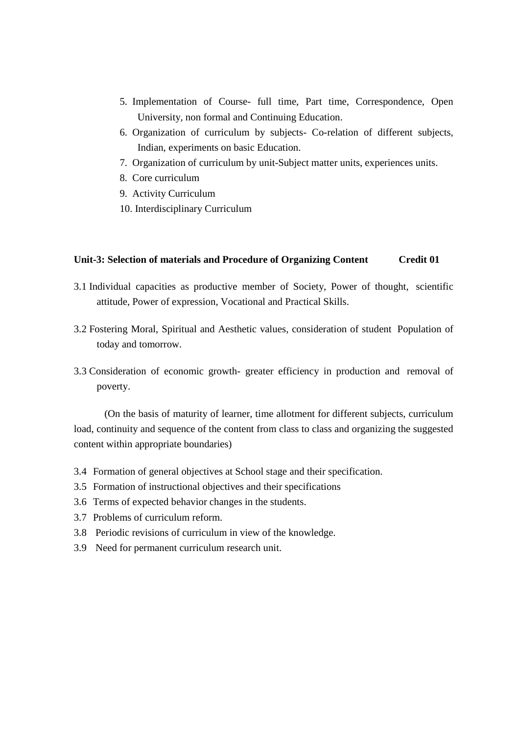- 5. Implementation of Course- full time, Part time, Correspondence, Open University, non formal and Continuing Education.
- 6. Organization of curriculum by subjects- Co-relation of different subjects, Indian, experiments on basic Education.
- 7. Organization of curriculum by unit-Subject matter units, experiences units.
- 8. Core curriculum
- 9. Activity Curriculum
- 10. Interdisciplinary Curriculum

#### **Unit-3: Selection of materials and Procedure of Organizing Content Credit 01**

- 3.1 Individual capacities as productive member of Society, Power of thought, scientific attitude, Power of expression, Vocational and Practical Skills.
- 3.2 Fostering Moral, Spiritual and Aesthetic values, consideration of student Population of today and tomorrow.
- 3.3 Consideration of economic growth- greater efficiency in production and removal of poverty.

(On the basis of maturity of learner, time allotment for different subjects, curriculum load, continuity and sequence of the content from class to class and organizing the suggested content within appropriate boundaries)

- 3.4 Formation of general objectives at School stage and their specification.
- 3.5 Formation of instructional objectives and their specifications
- 3.6 Terms of expected behavior changes in the students.
- 3.7 Problems of curriculum reform.
- 3.8 Periodic revisions of curriculum in view of the knowledge.
- 3.9 Need for permanent curriculum research unit.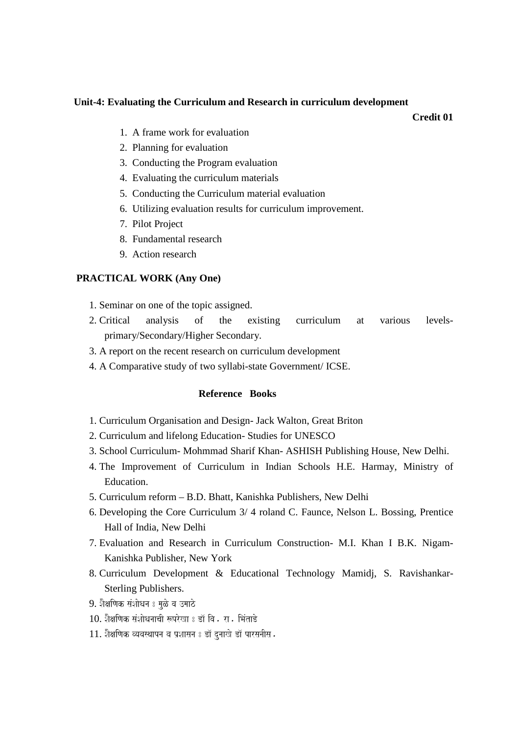#### **Unit-4: Evaluating the Curriculum and Research in curriculum development**

**Credit 01**

- 1. A frame work for evaluation
- 2. Planning for evaluation
- 3. Conducting the Program evaluation
- 4. Evaluating the curriculum materials
- 5. Conducting the Curriculum material evaluation
- 6. Utilizing evaluation results for curriculum improvement.
- 7. Pilot Project
- 8. Fundamental research
- 9. Action research

#### **PRACTICAL WORK (Any One)**

- 1. Seminar on one of the topic assigned.
- 2. Critical analysis of the existing curriculum at various levelsprimary/Secondary/Higher Secondary.
- 3. A report on the recent research on curriculum development
- 4. A Comparative study of two syllabi-state Government/ ICSE.

#### **Reference Books**

- 1. Curriculum Organisation and Design- Jack Walton, Great Briton
- 2. Curriculum and lifelong Education- Studies for UNESCO
- 3. School Curriculum- Mohmmad Sharif Khan- ASHISH Publishing House, New Delhi.
- 4. The Improvement of Curriculum in Indian Schools H.E. Harmay, Ministry of Education.
- 5. Curriculum reform B.D. Bhatt, Kanishka Publishers, New Delhi
- 6. Developing the Core Curriculum 3/ 4 roland C. Faunce, Nelson L. Bossing, Prentice Hall of India, New Delhi
- 7. Evaluation and Research in Curriculum Construction- M.I. Khan I B.K. Nigam-Kanishka Publisher, New York
- 8. Curriculum Development & Educational Technology Mamidj, S. Ravishankar-Sterling Publishers.
- 9. शैक्षणिक संशोधन 8 मुळे व उमाठे
- 10. शैक्षणिक संशोधनाची रूपरेखा 8 डॉ वि . रा . भिंताडे
- 11. शैक्षणिक व्यवस्थापन व प्रशासन 8 डॉ दुनाखे डॉ पारसनीस.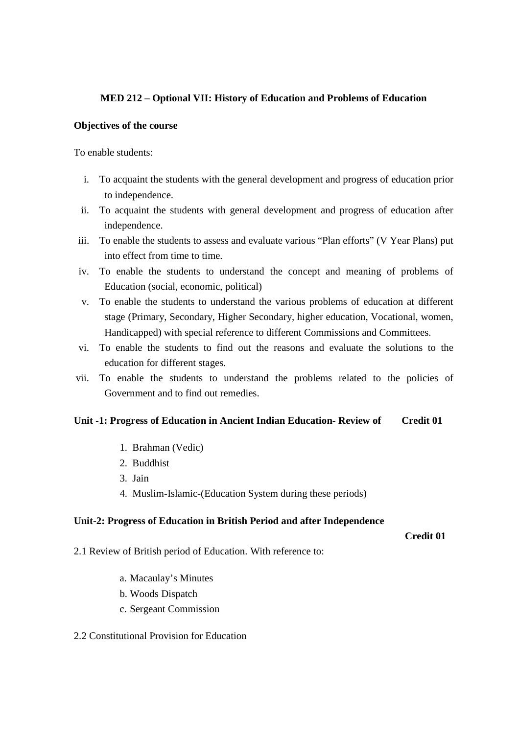# **MED 212 – Optional VII: History of Education and Problems of Education**

#### **Objectives of the course**

To enable students:

- i. To acquaint the students with the general development and progress of education prior to independence.
- ii. To acquaint the students with general development and progress of education after independence.
- iii. To enable the students to assess and evaluate various "Plan efforts" (V Year Plans) put into effect from time to time.
- iv. To enable the students to understand the concept and meaning of problems of Education (social, economic, political)
- v. To enable the students to understand the various problems of education at different stage (Primary, Secondary, Higher Secondary, higher education, Vocational, women, Handicapped) with special reference to different Commissions and Committees.
- vi. To enable the students to find out the reasons and evaluate the solutions to the education for different stages.
- vii. To enable the students to understand the problems related to the policies of Government and to find out remedies.

#### **Unit -1: Progress of Education in Ancient Indian Education- Review of Credit 01**

- 1. Brahman (Vedic)
- 2. Buddhist
- 3. Jain
- 4. Muslim-Islamic-(Education System during these periods)

#### **Unit-2: Progress of Education in British Period and after Independence**

 **Credit 01** 

2.1 Review of British period of Education. With reference to:

- a. Macaulay's Minutes
- b. Woods Dispatch
- c. Sergeant Commission
- 2.2 Constitutional Provision for Education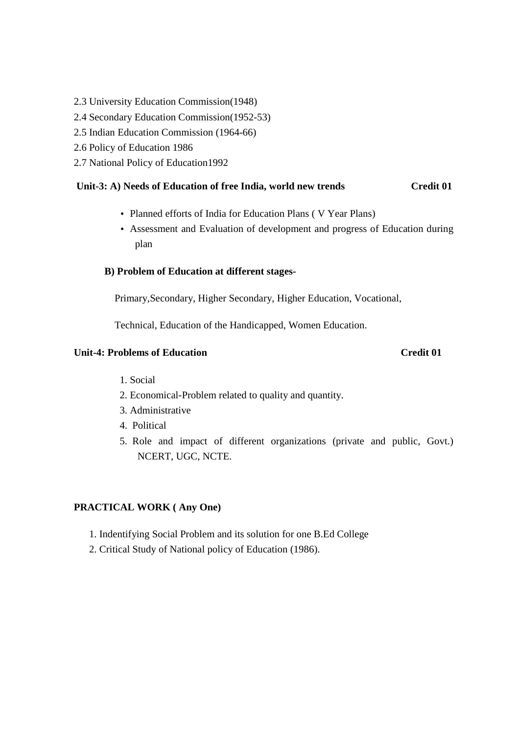- 2.3 University Education Commission(1948)
- 2.4 Secondary Education Commission(1952-53)
- 2.5 Indian Education Commission (1964-66)
- 2.6 Policy of Education 1986
- 2.7 National Policy of Education1992

#### **Unit-3: A) Needs of Education of free India, world new trends Credit 01**

- Planned efforts of India for Education Plans ( V Year Plans)
- Assessment and Evaluation of development and progress of Education during plan

#### **B) Problem of Education at different stages-**

Primary,Secondary, Higher Secondary, Higher Education, Vocational,

Technical, Education of the Handicapped, Women Education.

### **Unit-4: Problems of Education Credit 01**

- 1. Social
- 2. Economical-Problem related to quality and quantity.
- 3. Administrative
- 4. Political
- 5. Role and impact of different organizations (private and public, Govt.) NCERT, UGC, NCTE.

#### **PRACTICAL WORK ( Any One)**

- 1. Indentifying Social Problem and its solution for one B.Ed College
- 2. Critical Study of National policy of Education (1986).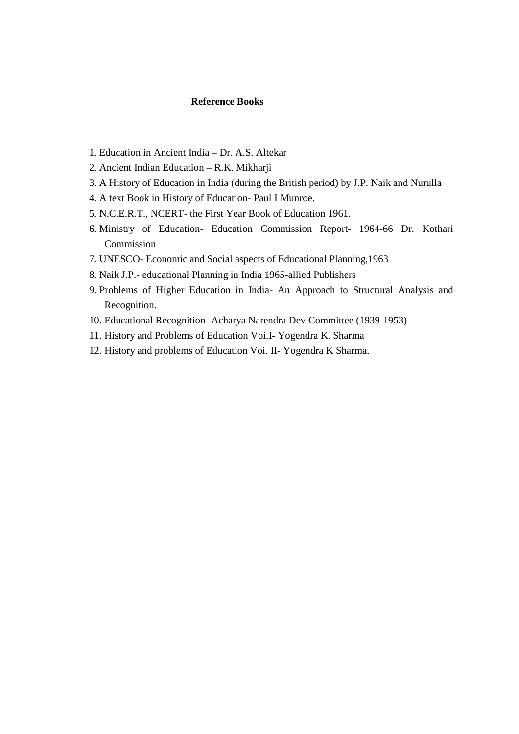#### **Reference Books**

- 1. Education in Ancient India Dr. A.S. Altekar
- 2. Ancient Indian Education R.K. Mikharji
- 3. A History of Education in India (during the British period) by J.P. Naik and Nurulla
- 4. A text Book in History of Education- Paul I Munroe.
- 5. N.C.E.R.T., NCERT- the First Year Book of Education 1961.
- 6. Ministry of Education- Education Commission Report- 1964-66 Dr. Kothari Commission
- 7. UNESCO- Economic and Social aspects of Educational Planning,1963
- 8. Naik J.P.- educational Planning in India 1965-allied Publishers
- 9. Problems of Higher Education in India- An Approach to Structural Analysis and Recognition.
- 10. Educational Recognition- Acharya Narendra Dev Committee (1939-1953)
- 11. History and Problems of Education Voi.I- Yogendra K. Sharma
- 12. History and problems of Education Voi. II- Yogendra K Sharma.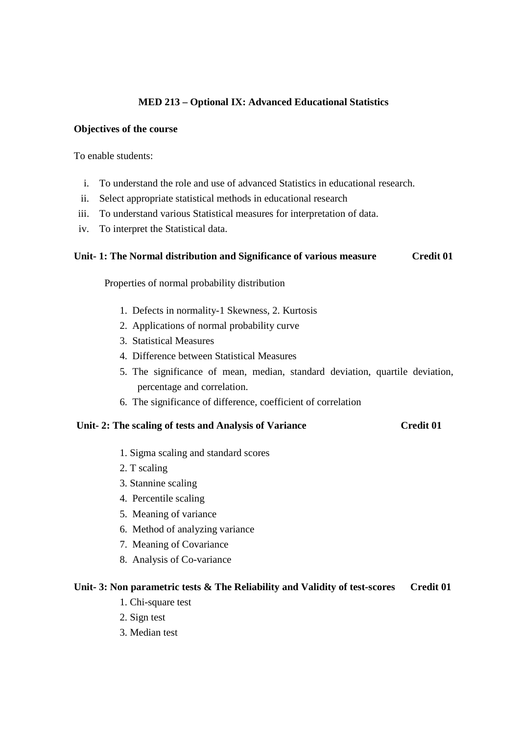## **MED 213 – Optional IX: Advanced Educational Statistics**

#### **Objectives of the course**

To enable students:

- i. To understand the role and use of advanced Statistics in educational research.
- ii. Select appropriate statistical methods in educational research
- iii. To understand various Statistical measures for interpretation of data.
- iv. To interpret the Statistical data.

#### **Unit- 1: The Normal distribution and Significance of various measure Credit 01**

Properties of normal probability distribution

- 1. Defects in normality-1 Skewness, 2. Kurtosis
- 2. Applications of normal probability curve
- 3. Statistical Measures
- 4. Difference between Statistical Measures
- 5. The significance of mean, median, standard deviation, quartile deviation, percentage and correlation.
- 6. The significance of difference, coefficient of correlation

### **Unit- 2: The scaling of tests and Analysis of Variance Credit 01**

- 1. Sigma scaling and standard scores
- 2. T scaling
- 3. Stannine scaling
- 4. Percentile scaling
- 5. Meaning of variance
- 6. Method of analyzing variance
- 7. Meaning of Covariance
- 8. Analysis of Co-variance

#### **Unit- 3: Non parametric tests & The Reliability and Validity of test-scores Credit 01**

- 1. Chi-square test
- 2. Sign test
- 3. Median test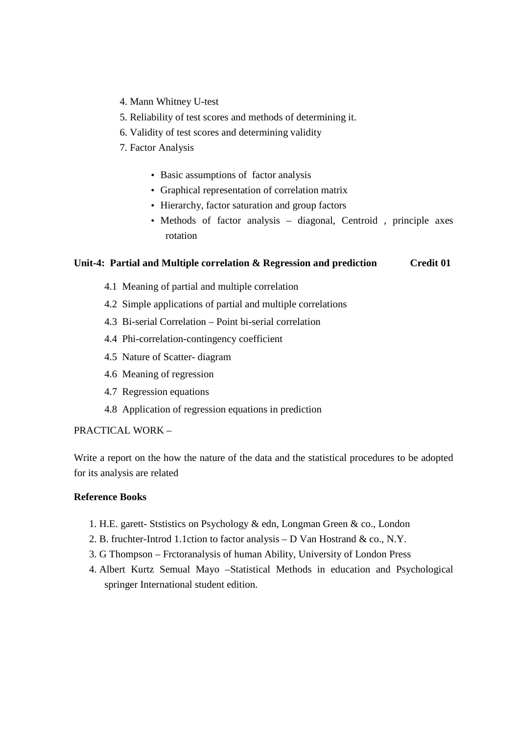- 4. Mann Whitney U-test
- 5. Reliability of test scores and methods of determining it.
- 6. Validity of test scores and determining validity
- 7. Factor Analysis
	- Basic assumptions of factor analysis
	- Graphical representation of correlation matrix
	- Hierarchy, factor saturation and group factors
	- Methods of factor analysis diagonal, Centroid , principle axes rotation

### **Unit-4: Partial and Multiple correlation & Regression and prediction Credit 01**

- 4.1 Meaning of partial and multiple correlation
- 4.2 Simple applications of partial and multiple correlations
- 4.3 Bi-serial Correlation Point bi-serial correlation
- 4.4 Phi-correlation-contingency coefficient
- 4.5 Nature of Scatter- diagram
- 4.6 Meaning of regression
- 4.7 Regression equations
- 4.8 Application of regression equations in prediction

#### PRACTICAL WORK –

Write a report on the how the nature of the data and the statistical procedures to be adopted for its analysis are related

#### **Reference Books**

- 1. H.E. garett- Ststistics on Psychology & edn, Longman Green & co., London
- 2. B. fruchter-Introd 1.1ction to factor analysis D Van Hostrand & co., N.Y.
- 3. G Thompson Frctoranalysis of human Ability, University of London Press
- 4. Albert Kurtz Semual Mayo –Statistical Methods in education and Psychological springer International student edition.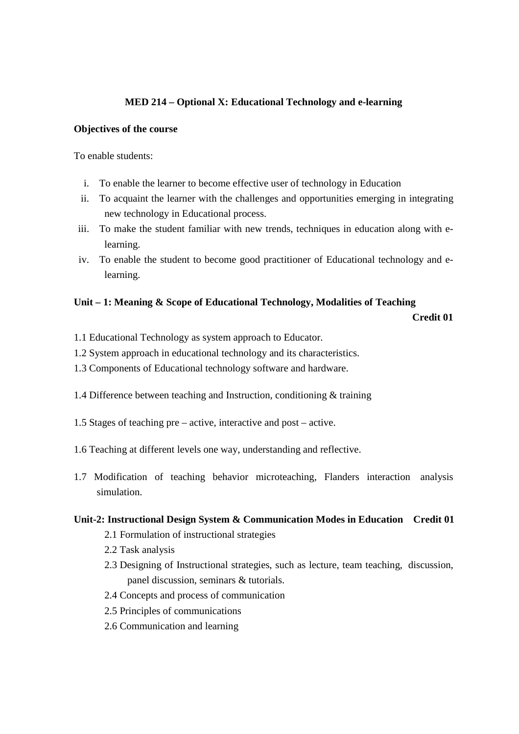### **MED 214 – Optional X: Educational Technology and e-learning**

#### **Objectives of the course**

To enable students:

- i. To enable the learner to become effective user of technology in Education
- ii. To acquaint the learner with the challenges and opportunities emerging in integrating new technology in Educational process.
- iii. To make the student familiar with new trends, techniques in education along with elearning.
- iv. To enable the student to become good practitioner of Educational technology and elearning.

#### **Unit – 1: Meaning & Scope of Educational Technology, Modalities of Teaching**

**Credit 01**

- 1.1 Educational Technology as system approach to Educator.
- 1.2 System approach in educational technology and its characteristics.
- 1.3 Components of Educational technology software and hardware.
- 1.4 Difference between teaching and Instruction, conditioning & training
- 1.5 Stages of teaching pre active, interactive and post active.
- 1.6 Teaching at different levels one way, understanding and reflective.
- 1.7 Modification of teaching behavior microteaching, Flanders interaction analysis simulation.

#### **Unit-2: Instructional Design System & Communication Modes in Education Credit 01**

- 2.1 Formulation of instructional strategies
- 2.2 Task analysis
- 2.3 Designing of Instructional strategies, such as lecture, team teaching, discussion, panel discussion, seminars & tutorials.
- 2.4 Concepts and process of communication
- 2.5 Principles of communications
- 2.6 Communication and learning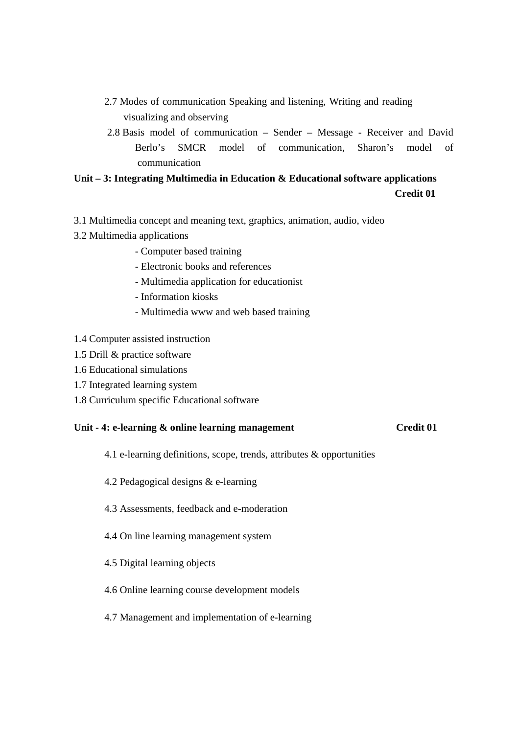- 2.7 Modes of communication Speaking and listening, Writing and reading visualizing and observing
- 2.8 Basis model of communication Sender Message Receiver and David Berlo's SMCR model of communication, Sharon's model of communication

# **Unit – 3: Integrating Multimedia in Education & Educational software applications Credit 01**

- 3.1 Multimedia concept and meaning text, graphics, animation, audio, video
- 3.2 Multimedia applications
	- Computer based training
	- Electronic books and references
	- Multimedia application for educationist
	- Information kiosks
	- Multimedia www and web based training
- 1.4 Computer assisted instruction
- 1.5 Drill & practice software
- 1.6 Educational simulations
- 1.7 Integrated learning system
- 1.8 Curriculum specific Educational software

# Unit - 4: e-learning & online learning management Credit 01

- 4.1 e-learning definitions, scope, trends, attributes & opportunities
- 4.2 Pedagogical designs & e-learning
- 4.3 Assessments, feedback and e-moderation
- 4.4 On line learning management system
- 4.5 Digital learning objects
- 4.6 Online learning course development models
- 4.7 Management and implementation of e-learning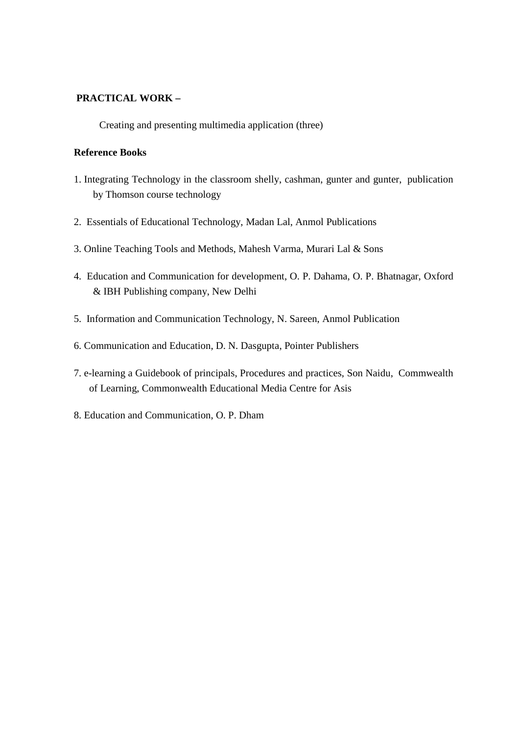### **PRACTICAL WORK –**

Creating and presenting multimedia application (three)

#### **Reference Books**

- 1. Integrating Technology in the classroom shelly, cashman, gunter and gunter, publication by Thomson course technology
- 2. Essentials of Educational Technology, Madan Lal, Anmol Publications
- 3. Online Teaching Tools and Methods, Mahesh Varma, Murari Lal & Sons
- 4. Education and Communication for development, O. P. Dahama, O. P. Bhatnagar, Oxford & IBH Publishing company, New Delhi
- 5. Information and Communication Technology, N. Sareen, Anmol Publication
- 6. Communication and Education, D. N. Dasgupta, Pointer Publishers
- 7. e-learning a Guidebook of principals, Procedures and practices, Son Naidu, Commwealth of Learning, Commonwealth Educational Media Centre for Asis
- 8. Education and Communication, O. P. Dham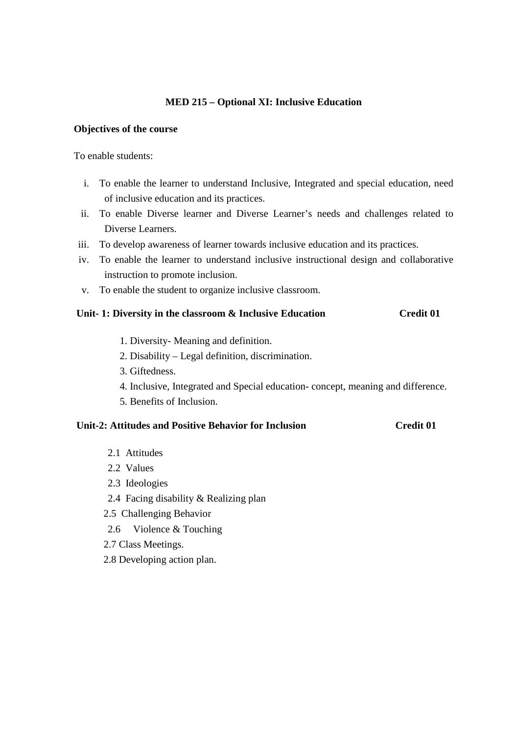#### **MED 215 – Optional XI: Inclusive Education**

#### **Objectives of the course**

#### To enable students:

- i. To enable the learner to understand Inclusive, Integrated and special education, need of inclusive education and its practices.
- ii. To enable Diverse learner and Diverse Learner's needs and challenges related to Diverse Learners.
- iii. To develop awareness of learner towards inclusive education and its practices.
- iv. To enable the learner to understand inclusive instructional design and collaborative instruction to promote inclusion.
- v. To enable the student to organize inclusive classroom.

#### **Unit- 1: Diversity in the classroom & Inclusive Education Credit 01**

- 1. Diversity- Meaning and definition.
- 2. Disability Legal definition, discrimination.
- 3. Giftedness.
- 4. Inclusive, Integrated and Special education- concept, meaning and difference.
- 5. Benefits of Inclusion.

# **Unit-2: Attitudes and Positive Behavior for Inclusion Credit 01**

- 2.1 Attitudes
- 2.2 Values
- 2.3 Ideologies
- 2.4 Facing disability & Realizing plan
- 2.5 Challenging Behavior
- 2.6 Violence & Touching
- 2.7 Class Meetings.
- 2.8 Developing action plan.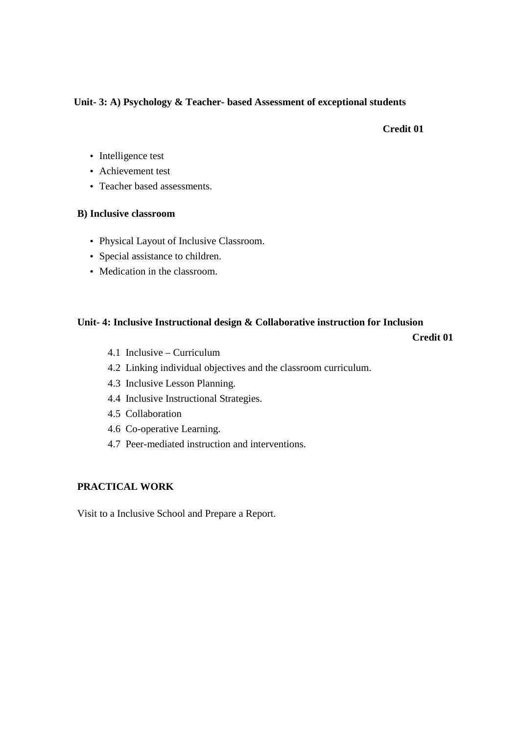### **Unit- 3: A) Psychology & Teacher- based Assessment of exceptional students**

#### **Credit 01**

- Intelligence test
- Achievement test
- Teacher based assessments.

#### **B) Inclusive classroom**

- Physical Layout of Inclusive Classroom.
- Special assistance to children.
- Medication in the classroom.

#### **Unit- 4: Inclusive Instructional design & Collaborative instruction for Inclusion**

**Credit 01**

- 4.1 Inclusive Curriculum
- 4.2 Linking individual objectives and the classroom curriculum.
- 4.3 Inclusive Lesson Planning.
- 4.4 Inclusive Instructional Strategies.
- 4.5 Collaboration
- 4.6 Co-operative Learning.
- 4.7 Peer-mediated instruction and interventions.

### **PRACTICAL WORK**

Visit to a Inclusive School and Prepare a Report.